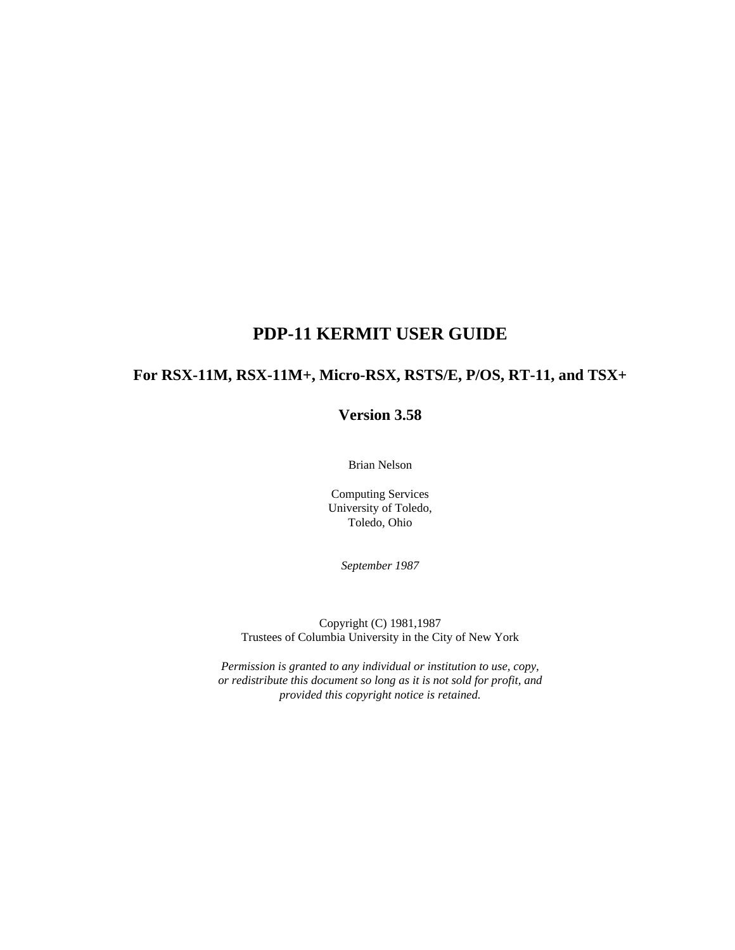## **PDP-11 KERMIT USER GUIDE**

## **For RSX-11M, RSX-11M+, Micro-RSX, RSTS/E, P/OS, RT-11, and TSX+**

## **Version 3.58**

Brian Nelson

Computing Services University of Toledo, Toledo, Ohio

*September 1987*

Copyright (C) 1981,1987 Trustees of Columbia University in the City of New York

*Permission is granted to any individual or institution to use, copy, or redistribute this document so long as it is not sold for profit, and provided this copyright notice is retained.*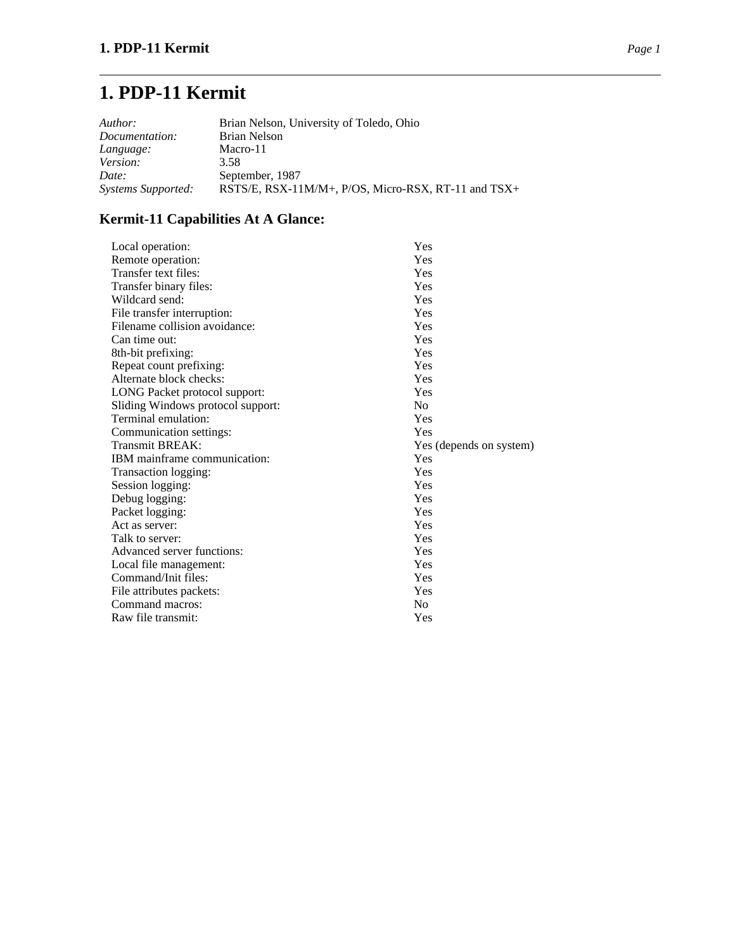# **1. PDP-11 Kermit**

| Author:                   | Brian Nelson, University of Toledo, Ohio            |
|---------------------------|-----------------------------------------------------|
| Documentation:            | Brian Nelson                                        |
| Language:                 | Macro-11                                            |
| Version:                  | 3.58                                                |
| Date:                     | September, 1987                                     |
| <b>Systems Supported:</b> | RSTS/E, RSX-11M/M+, P/OS, Micro-RSX, RT-11 and TSX+ |

## **Kermit-11 Capabilities At A Glance:**

| Yes                     |
|-------------------------|
| Yes                     |
| Yes                     |
| Yes                     |
| Yes                     |
| Yes                     |
| Yes                     |
| Yes                     |
| Yes                     |
| Yes                     |
| Yes                     |
| Yes                     |
| N <sub>0</sub>          |
| Yes                     |
| Yes                     |
| Yes (depends on system) |
| Yes                     |
| Yes                     |
| Yes                     |
| Yes                     |
| Yes                     |
| Yes                     |
| Yes                     |
| Yes                     |
| Yes                     |
| Yes                     |
| Yes                     |
| N <sub>0</sub>          |
| Yes                     |
|                         |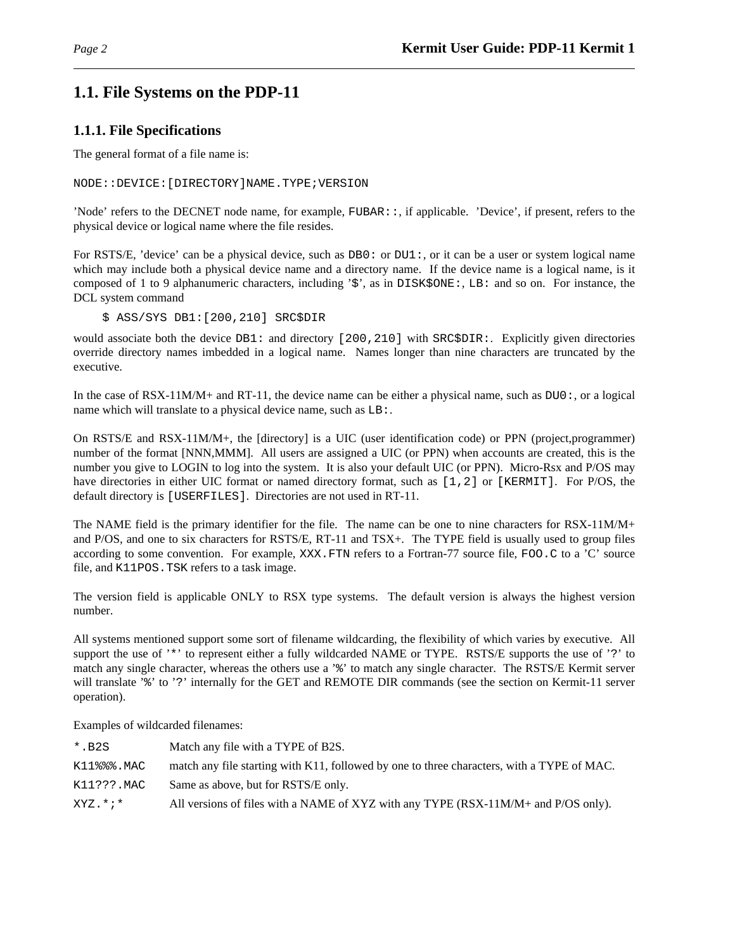## **1.1. File Systems on the PDP-11**

## **1.1.1. File Specifications**

The general format of a file name is:

NODE::DEVICE:[DIRECTORY]NAME.TYPE;VERSION

'Node' refers to the DECNET node name, for example, FUBAR::, if applicable. 'Device', if present, refers to the physical device or logical name where the file resides.

For RSTS/E, 'device' can be a physical device, such as DB0: or DU1:, or it can be a user or system logical name which may include both a physical device name and a directory name. If the device name is a logical name, is it composed of 1 to 9 alphanumeric characters, including '\$', as in DISK\$ONE:, LB: and so on. For instance, the DCL system command

\$ ASS/SYS DB1:[200,210] SRC\$DIR

would associate both the device DB1: and directory [200,210] with SRC\$DIR: Explicitly given directories override directory names imbedded in a logical name. Names longer than nine characters are truncated by the executive.

In the case of RSX-11M/M+ and RT-11, the device name can be either a physical name, such as DU0:, or a logical name which will translate to a physical device name, such as LB:.

On RSTS/E and RSX-11M/M+, the [directory] is a UIC (user identification code) or PPN (project,programmer) number of the format [NNN,MMM]. All users are assigned a UIC (or PPN) when accounts are created, this is the number you give to LOGIN to log into the system. It is also your default UIC (or PPN). Micro-Rsx and P/OS may have directories in either UIC format or named directory format, such as [1,2] or [KERMIT]. For P/OS, the default directory is [USERFILES]. Directories are not used in RT-11.

The NAME field is the primary identifier for the file. The name can be one to nine characters for RSX-11M/M+ and P/OS, and one to six characters for RSTS/E, RT-11 and TSX+. The TYPE field is usually used to group files according to some convention. For example, XXX.FTN refers to a Fortran-77 source file, FOO.C to a 'C' source file, and K11POS.TSK refers to a task image.

The version field is applicable ONLY to RSX type systems. The default version is always the highest version number.

All systems mentioned support some sort of filename wildcarding, the flexibility of which varies by executive. All support the use of '\*' to represent either a fully wildcarded NAME or TYPE. RSTS/E supports the use of '?' to match any single character, whereas the others use a '%' to match any single character. The RSTS/E Kermit server will translate '%' to '?' internally for the GET and REMOTE DIR commands (see the section on Kermit-11 server operation).

Examples of wildcarded filenames:

| $*$ . B2S     | Match any file with a TYPE of B2S.                                                         |
|---------------|--------------------------------------------------------------------------------------------|
| $K11$ %%%.MAC | match any file starting with K11, followed by one to three characters, with a TYPE of MAC. |
| K11???.MAC    | Same as above, but for RSTS/E only.                                                        |
| $XYZ$ *;*     | All versions of files with a NAME of XYZ with any TYPE (RSX-11M/M+ and P/OS only).         |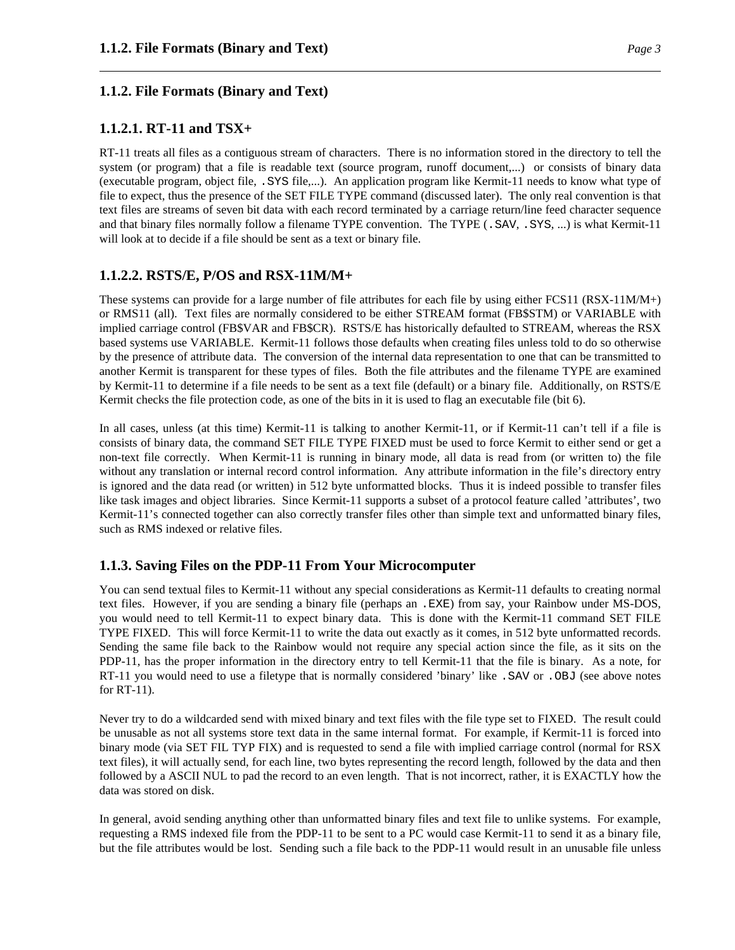#### **1.1.2. File Formats (Binary and Text)**

### **1.1.2.1. RT-11 and TSX+**

RT-11 treats all files as a contiguous stream of characters. There is no information stored in the directory to tell the system (or program) that a file is readable text (source program, runoff document,...) or consists of binary data (executable program, object file, .SYS file,...). An application program like Kermit-11 needs to know what type of file to expect, thus the presence of the SET FILE TYPE command (discussed later). The only real convention is that text files are streams of seven bit data with each record terminated by a carriage return/line feed character sequence and that binary files normally follow a filename TYPE convention. The TYPE (. SAV, . SYS, ...) is what Kermit-11 will look at to decide if a file should be sent as a text or binary file.

### **1.1.2.2. RSTS/E, P/OS and RSX-11M/M+**

These systems can provide for a large number of file attributes for each file by using either FCS11 (RSX-11M/M+) or RMS11 (all). Text files are normally considered to be either STREAM format (FB\$STM) or VARIABLE with implied carriage control (FB\$VAR and FB\$CR). RSTS/E has historically defaulted to STREAM, whereas the RSX based systems use VARIABLE. Kermit-11 follows those defaults when creating files unless told to do so otherwise by the presence of attribute data. The conversion of the internal data representation to one that can be transmitted to another Kermit is transparent for these types of files. Both the file attributes and the filename TYPE are examined by Kermit-11 to determine if a file needs to be sent as a text file (default) or a binary file. Additionally, on RSTS/E Kermit checks the file protection code, as one of the bits in it is used to flag an executable file (bit 6).

In all cases, unless (at this time) Kermit-11 is talking to another Kermit-11, or if Kermit-11 can't tell if a file is consists of binary data, the command SET FILE TYPE FIXED must be used to force Kermit to either send or get a non-text file correctly. When Kermit-11 is running in binary mode, all data is read from (or written to) the file without any translation or internal record control information. Any attribute information in the file's directory entry is ignored and the data read (or written) in 512 byte unformatted blocks. Thus it is indeed possible to transfer files like task images and object libraries. Since Kermit-11 supports a subset of a protocol feature called 'attributes', two Kermit-11's connected together can also correctly transfer files other than simple text and unformatted binary files, such as RMS indexed or relative files.

#### **1.1.3. Saving Files on the PDP-11 From Your Microcomputer**

You can send textual files to Kermit-11 without any special considerations as Kermit-11 defaults to creating normal text files. However, if you are sending a binary file (perhaps an .EXE) from say, your Rainbow under MS-DOS, you would need to tell Kermit-11 to expect binary data. This is done with the Kermit-11 command SET FILE TYPE FIXED. This will force Kermit-11 to write the data out exactly as it comes, in 512 byte unformatted records. Sending the same file back to the Rainbow would not require any special action since the file, as it sits on the PDP-11, has the proper information in the directory entry to tell Kermit-11 that the file is binary. As a note, for RT-11 you would need to use a filetype that is normally considered 'binary' like .SAV or .OBJ (see above notes for RT-11).

Never try to do a wildcarded send with mixed binary and text files with the file type set to FIXED. The result could be unusable as not all systems store text data in the same internal format. For example, if Kermit-11 is forced into binary mode (via SET FIL TYP FIX) and is requested to send a file with implied carriage control (normal for RSX text files), it will actually send, for each line, two bytes representing the record length, followed by the data and then followed by a ASCII NUL to pad the record to an even length. That is not incorrect, rather, it is EXACTLY how the data was stored on disk.

In general, avoid sending anything other than unformatted binary files and text file to unlike systems. For example, requesting a RMS indexed file from the PDP-11 to be sent to a PC would case Kermit-11 to send it as a binary file, but the file attributes would be lost. Sending such a file back to the PDP-11 would result in an unusable file unless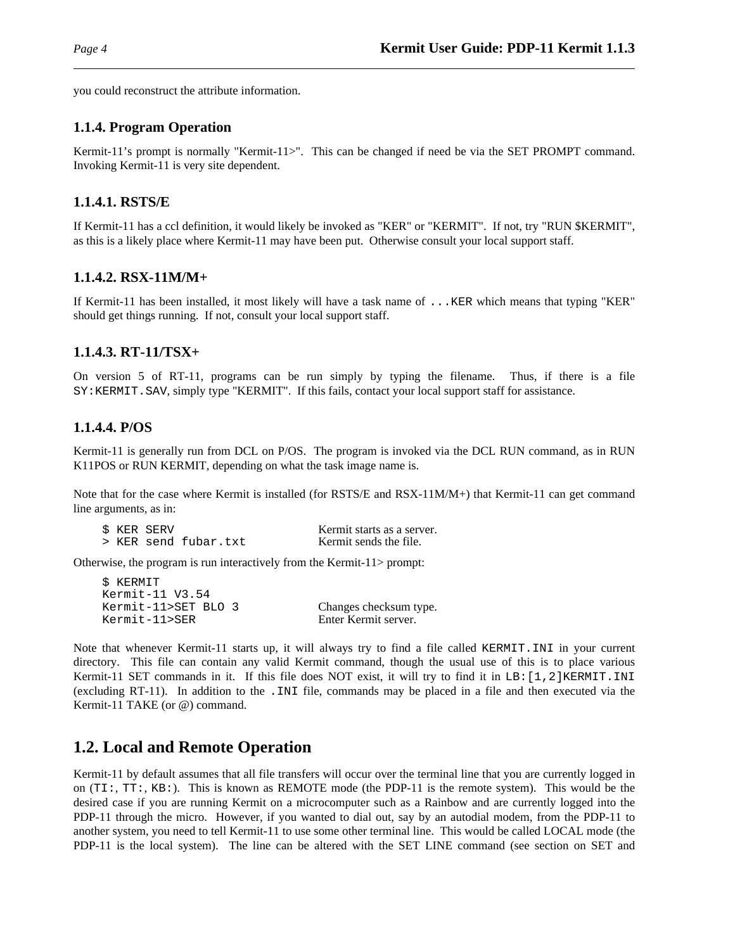you could reconstruct the attribute information.

### **1.1.4. Program Operation**

Kermit-11's prompt is normally "Kermit-11>". This can be changed if need be via the SET PROMPT command. Invoking Kermit-11 is very site dependent.

### **1.1.4.1. RSTS/E**

If Kermit-11 has a ccl definition, it would likely be invoked as "KER" or "KERMIT". If not, try "RUN \$KERMIT", as this is a likely place where Kermit-11 may have been put. Otherwise consult your local support staff.

### **1.1.4.2. RSX-11M/M+**

If Kermit-11 has been installed, it most likely will have a task name of ...KER which means that typing "KER" should get things running. If not, consult your local support staff.

## **1.1.4.3. RT-11/TSX+**

On version 5 of RT-11, programs can be run simply by typing the filename. Thus, if there is a file SY:KERMIT.SAV, simply type "KERMIT". If this fails, contact your local support staff for assistance.

### **1.1.4.4. P/OS**

Kermit-11 is generally run from DCL on P/OS. The program is invoked via the DCL RUN command, as in RUN K11POS or RUN KERMIT, depending on what the task image name is.

Note that for the case where Kermit is installed (for RSTS/E and RSX-11M/M+) that Kermit-11 can get command line arguments, as in:

|  | \$ KER SERV |                      | Kermit starts as a server. |
|--|-------------|----------------------|----------------------------|
|  |             | > KER send fubar.txt | Kermit sends the file.     |

Otherwise, the program is run interactively from the Kermit-11> prompt:

```
$ KERMIT
Kermit-11 V3.54
Kermit-11>SET BLO 3 Changes checksum type.
Kermit-11>SER Enter Kermit server.
```
Note that whenever Kermit-11 starts up, it will always try to find a file called KERMIT.INI in your current directory. This file can contain any valid Kermit command, though the usual use of this is to place various Kermit-11 SET commands in it. If this file does NOT exist, it will try to find it in LB: [1,2]KERMIT.INI (excluding RT-11). In addition to the .INI file, commands may be placed in a file and then executed via the Kermit-11 TAKE (or @) command.

## **1.2. Local and Remote Operation**

Kermit-11 by default assumes that all file transfers will occur over the terminal line that you are currently logged in on (TI:, TT:, KB:). This is known as REMOTE mode (the PDP-11 is the remote system). This would be the desired case if you are running Kermit on a microcomputer such as a Rainbow and are currently logged into the PDP-11 through the micro. However, if you wanted to dial out, say by an autodial modem, from the PDP-11 to another system, you need to tell Kermit-11 to use some other terminal line. This would be called LOCAL mode (the PDP-11 is the local system). The line can be altered with the SET LINE command (see section on SET and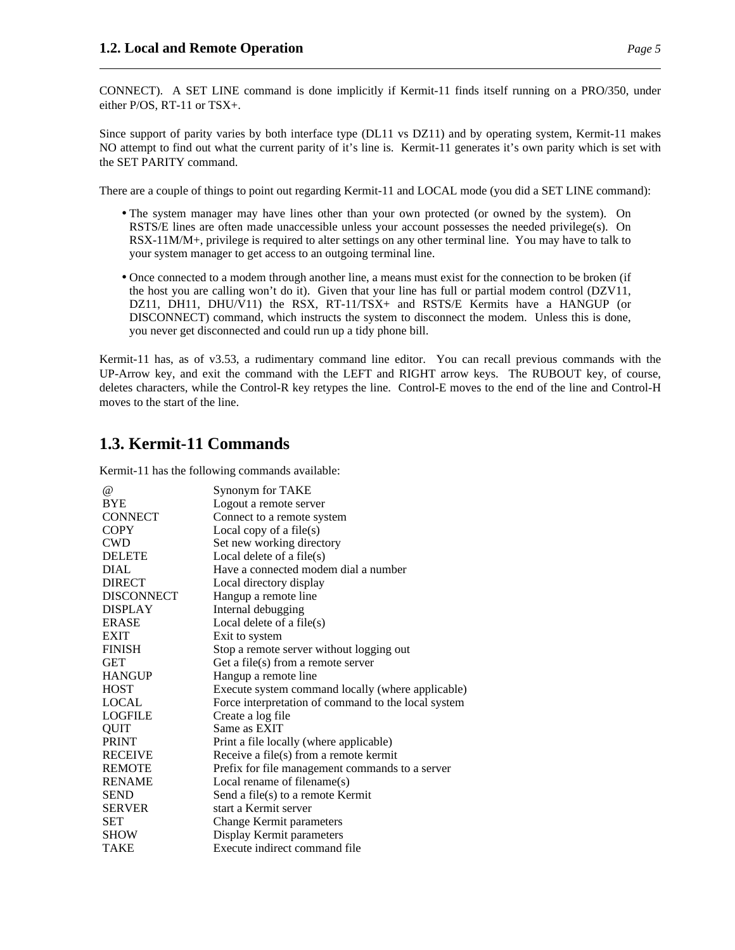CONNECT). A SET LINE command is done implicitly if Kermit-11 finds itself running on a PRO/350, under either P/OS, RT-11 or TSX+.

Since support of parity varies by both interface type (DL11 vs DZ11) and by operating system, Kermit-11 makes NO attempt to find out what the current parity of it's line is. Kermit-11 generates it's own parity which is set with the SET PARITY command.

There are a couple of things to point out regarding Kermit-11 and LOCAL mode (you did a SET LINE command):

- The system manager may have lines other than your own protected (or owned by the system). On RSTS/E lines are often made unaccessible unless your account possesses the needed privilege(s). On RSX-11M/M+, privilege is required to alter settings on any other terminal line. You may have to talk to your system manager to get access to an outgoing terminal line.
- Once connected to a modem through another line, a means must exist for the connection to be broken (if the host you are calling won't do it). Given that your line has full or partial modem control (DZV11, DZ11, DH11, DHU/V11) the RSX, RT-11/TSX+ and RSTS/E Kermits have a HANGUP (or DISCONNECT) command, which instructs the system to disconnect the modem. Unless this is done, you never get disconnected and could run up a tidy phone bill.

Kermit-11 has, as of v3.53, a rudimentary command line editor. You can recall previous commands with the UP-Arrow key, and exit the command with the LEFT and RIGHT arrow keys. The RUBOUT key, of course, deletes characters, while the Control-R key retypes the line. Control-E moves to the end of the line and Control-H moves to the start of the line.

## **1.3. Kermit-11 Commands**

Kermit-11 has the following commands available:

| $\omega$          | Synonym for TAKE                                    |
|-------------------|-----------------------------------------------------|
| <b>BYE</b>        | Logout a remote server                              |
| <b>CONNECT</b>    | Connect to a remote system                          |
| <b>COPY</b>       | Local copy of a file $(s)$                          |
| <b>CWD</b>        | Set new working directory                           |
| <b>DELETE</b>     | Local delete of a file $(s)$                        |
| <b>DIAL</b>       | Have a connected modem dial a number                |
| <b>DIRECT</b>     | Local directory display                             |
| <b>DISCONNECT</b> | Hangup a remote line                                |
| <b>DISPLAY</b>    | Internal debugging                                  |
| <b>ERASE</b>      | Local delete of a file $(s)$                        |
| <b>EXIT</b>       | Exit to system                                      |
| <b>FINISH</b>     | Stop a remote server without logging out            |
| <b>GET</b>        | Get a file(s) from a remote server                  |
| <b>HANGUP</b>     | Hangup a remote line                                |
| <b>HOST</b>       | Execute system command locally (where applicable)   |
| <b>LOCAL</b>      | Force interpretation of command to the local system |
| <b>LOGFILE</b>    | Create a log file                                   |
| QUIT              | Same as EXIT                                        |
| <b>PRINT</b>      | Print a file locally (where applicable)             |
| <b>RECEIVE</b>    | Receive a file(s) from a remote kermit              |
| <b>REMOTE</b>     | Prefix for file management commands to a server     |
| <b>RENAME</b>     | Local rename of filename(s)                         |
| <b>SEND</b>       | Send a file(s) to a remote Kermit                   |
| <b>SERVER</b>     | start a Kermit server                               |
| <b>SET</b>        | <b>Change Kermit parameters</b>                     |
| <b>SHOW</b>       | Display Kermit parameters                           |
| TAKE              | Execute indirect command file                       |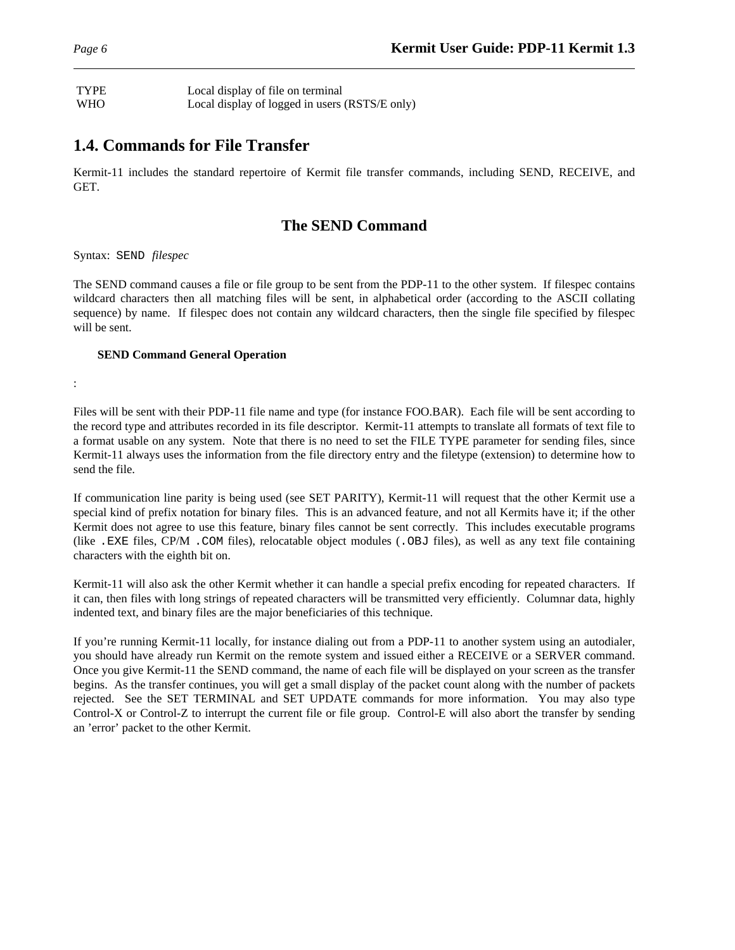TYPE Local display of file on terminal WHO Local display of logged in users (RSTS/E only)

## **1.4. Commands for File Transfer**

Kermit-11 includes the standard repertoire of Kermit file transfer commands, including SEND, RECEIVE, and GET.

## **The SEND Command**

Syntax: SEND *filespec*

:

The SEND command causes a file or file group to be sent from the PDP-11 to the other system. If filespec contains wildcard characters then all matching files will be sent, in alphabetical order (according to the ASCII collating sequence) by name. If filespec does not contain any wildcard characters, then the single file specified by filespec will be sent.

#### **SEND Command General Operation**

Files will be sent with their PDP-11 file name and type (for instance FOO.BAR). Each file will be sent according to the record type and attributes recorded in its file descriptor. Kermit-11 attempts to translate all formats of text file to a format usable on any system. Note that there is no need to set the FILE TYPE parameter for sending files, since Kermit-11 always uses the information from the file directory entry and the filetype (extension) to determine how to send the file.

If communication line parity is being used (see SET PARITY), Kermit-11 will request that the other Kermit use a special kind of prefix notation for binary files. This is an advanced feature, and not all Kermits have it; if the other Kermit does not agree to use this feature, binary files cannot be sent correctly. This includes executable programs (like .EXE files, CP/M .COM files), relocatable object modules (.OBJ files), as well as any text file containing characters with the eighth bit on.

Kermit-11 will also ask the other Kermit whether it can handle a special prefix encoding for repeated characters. If it can, then files with long strings of repeated characters will be transmitted very efficiently. Columnar data, highly indented text, and binary files are the major beneficiaries of this technique.

If you're running Kermit-11 locally, for instance dialing out from a PDP-11 to another system using an autodialer, you should have already run Kermit on the remote system and issued either a RECEIVE or a SERVER command. Once you give Kermit-11 the SEND command, the name of each file will be displayed on your screen as the transfer begins. As the transfer continues, you will get a small display of the packet count along with the number of packets rejected. See the SET TERMINAL and SET UPDATE commands for more information. You may also type Control-X or Control-Z to interrupt the current file or file group. Control-E will also abort the transfer by sending an 'error' packet to the other Kermit.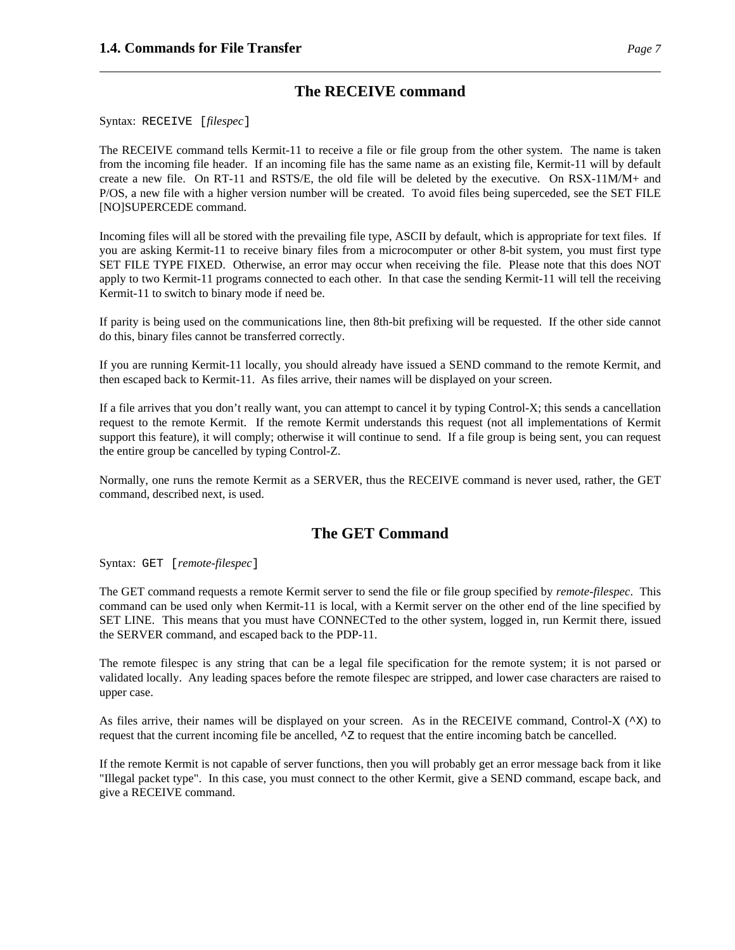## **The RECEIVE command**

Syntax: RECEIVE [*filespec*]

The RECEIVE command tells Kermit-11 to receive a file or file group from the other system. The name is taken from the incoming file header. If an incoming file has the same name as an existing file, Kermit-11 will by default create a new file. On RT-11 and RSTS/E, the old file will be deleted by the executive. On RSX-11M/M+ and P/OS, a new file with a higher version number will be created. To avoid files being superceded, see the SET FILE [NO]SUPERCEDE command.

Incoming files will all be stored with the prevailing file type, ASCII by default, which is appropriate for text files. If you are asking Kermit-11 to receive binary files from a microcomputer or other 8-bit system, you must first type SET FILE TYPE FIXED. Otherwise, an error may occur when receiving the file. Please note that this does NOT apply to two Kermit-11 programs connected to each other. In that case the sending Kermit-11 will tell the receiving Kermit-11 to switch to binary mode if need be.

If parity is being used on the communications line, then 8th-bit prefixing will be requested. If the other side cannot do this, binary files cannot be transferred correctly.

If you are running Kermit-11 locally, you should already have issued a SEND command to the remote Kermit, and then escaped back to Kermit-11. As files arrive, their names will be displayed on your screen.

If a file arrives that you don't really want, you can attempt to cancel it by typing Control-X; this sends a cancellation request to the remote Kermit. If the remote Kermit understands this request (not all implementations of Kermit support this feature), it will comply; otherwise it will continue to send. If a file group is being sent, you can request the entire group be cancelled by typing Control-Z.

Normally, one runs the remote Kermit as a SERVER, thus the RECEIVE command is never used, rather, the GET command, described next, is used.

## **The GET Command**

Syntax: GET [*remote-filespec*]

The GET command requests a remote Kermit server to send the file or file group specified by *remote-filespec*. This command can be used only when Kermit-11 is local, with a Kermit server on the other end of the line specified by SET LINE. This means that you must have CONNECTed to the other system, logged in, run Kermit there, issued the SERVER command, and escaped back to the PDP-11.

The remote filespec is any string that can be a legal file specification for the remote system; it is not parsed or validated locally. Any leading spaces before the remote filespec are stripped, and lower case characters are raised to upper case.

As files arrive, their names will be displayed on your screen. As in the RECEIVE command, Control-X ( $\infty$ ) to request that the current incoming file be ancelled,  $\sim$  z to request that the entire incoming batch be cancelled.

If the remote Kermit is not capable of server functions, then you will probably get an error message back from it like "Illegal packet type". In this case, you must connect to the other Kermit, give a SEND command, escape back, and give a RECEIVE command.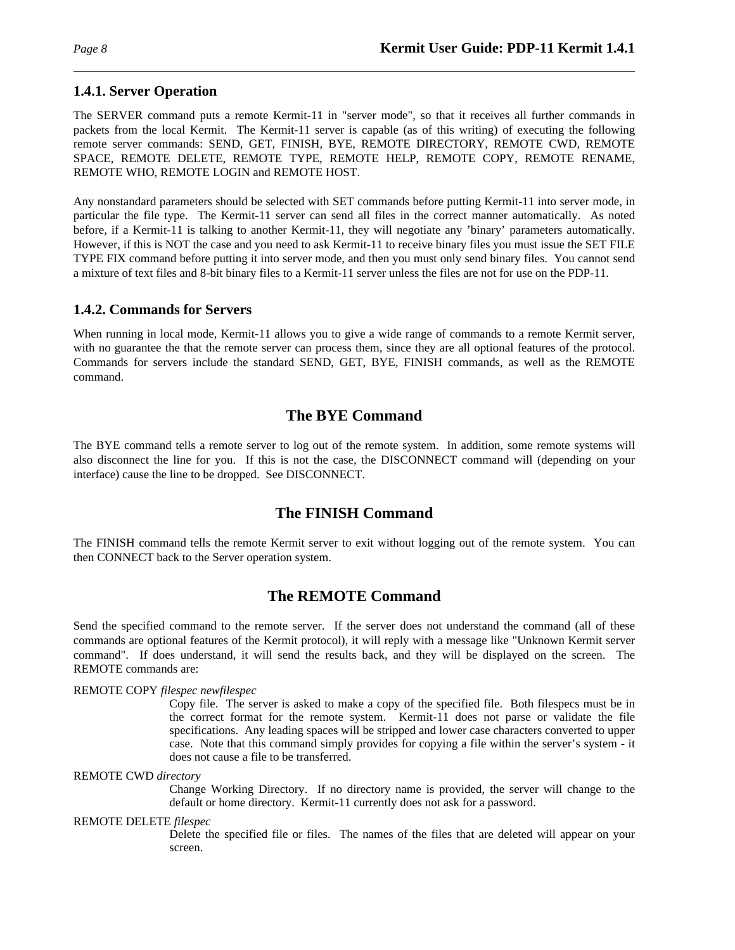## **1.4.1. Server Operation**

The SERVER command puts a remote Kermit-11 in "server mode", so that it receives all further commands in packets from the local Kermit. The Kermit-11 server is capable (as of this writing) of executing the following remote server commands: SEND, GET, FINISH, BYE, REMOTE DIRECTORY, REMOTE CWD, REMOTE SPACE, REMOTE DELETE, REMOTE TYPE, REMOTE HELP, REMOTE COPY, REMOTE RENAME, REMOTE WHO, REMOTE LOGIN and REMOTE HOST.

Any nonstandard parameters should be selected with SET commands before putting Kermit-11 into server mode, in particular the file type. The Kermit-11 server can send all files in the correct manner automatically. As noted before, if a Kermit-11 is talking to another Kermit-11, they will negotiate any 'binary' parameters automatically. However, if this is NOT the case and you need to ask Kermit-11 to receive binary files you must issue the SET FILE TYPE FIX command before putting it into server mode, and then you must only send binary files. You cannot send a mixture of text files and 8-bit binary files to a Kermit-11 server unless the files are not for use on the PDP-11.

### **1.4.2. Commands for Servers**

When running in local mode, Kermit-11 allows you to give a wide range of commands to a remote Kermit server, with no guarantee the that the remote server can process them, since they are all optional features of the protocol. Commands for servers include the standard SEND, GET, BYE, FINISH commands, as well as the REMOTE command.

## **The BYE Command**

The BYE command tells a remote server to log out of the remote system. In addition, some remote systems will also disconnect the line for you. If this is not the case, the DISCONNECT command will (depending on your interface) cause the line to be dropped. See DISCONNECT.

## **The FINISH Command**

The FINISH command tells the remote Kermit server to exit without logging out of the remote system. You can then CONNECT back to the Server operation system.

## **The REMOTE Command**

Send the specified command to the remote server. If the server does not understand the command (all of these commands are optional features of the Kermit protocol), it will reply with a message like "Unknown Kermit server command". If does understand, it will send the results back, and they will be displayed on the screen. The REMOTE commands are:

#### REMOTE COPY *filespec newfilespec*

Copy file. The server is asked to make a copy of the specified file. Both filespecs must be in the correct format for the remote system. Kermit-11 does not parse or validate the file specifications. Any leading spaces will be stripped and lower case characters converted to upper case. Note that this command simply provides for copying a file within the server's system - it does not cause a file to be transferred.

#### REMOTE CWD *directory*

Change Working Directory. If no directory name is provided, the server will change to the default or home directory. Kermit-11 currently does not ask for a password.

#### REMOTE DELETE *filespec*

Delete the specified file or files. The names of the files that are deleted will appear on your screen.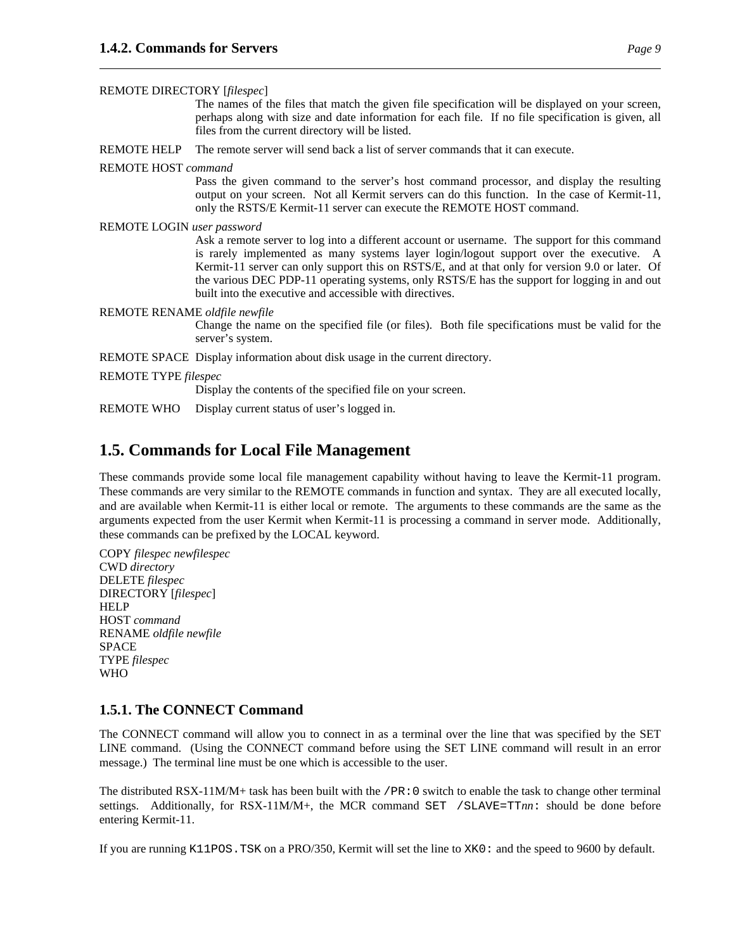REMOTE DIRECTORY [*filespec*]

The names of the files that match the given file specification will be displayed on your screen, perhaps along with size and date information for each file. If no file specification is given, all files from the current directory will be listed.

REMOTE HELP The remote server will send back a list of server commands that it can execute.

#### REMOTE HOST *command*

Pass the given command to the server's host command processor, and display the resulting output on your screen. Not all Kermit servers can do this function. In the case of Kermit-11, only the RSTS/E Kermit-11 server can execute the REMOTE HOST command.

#### REMOTE LOGIN *user password*

Ask a remote server to log into a different account or username. The support for this command is rarely implemented as many systems layer login/logout support over the executive. A Kermit-11 server can only support this on RSTS/E, and at that only for version 9.0 or later. Of the various DEC PDP-11 operating systems, only RSTS/E has the support for logging in and out built into the executive and accessible with directives.

#### REMOTE RENAME *oldfile newfile*

Change the name on the specified file (or files). Both file specifications must be valid for the server's system.

REMOTE SPACE Display information about disk usage in the current directory.

#### REMOTE TYPE *filespec*

Display the contents of the specified file on your screen.

REMOTE WHO Display current status of user's logged in.

## **1.5. Commands for Local File Management**

These commands provide some local file management capability without having to leave the Kermit-11 program. These commands are very similar to the REMOTE commands in function and syntax. They are all executed locally, and are available when Kermit-11 is either local or remote. The arguments to these commands are the same as the arguments expected from the user Kermit when Kermit-11 is processing a command in server mode. Additionally, these commands can be prefixed by the LOCAL keyword.

COPY *filespec newfilespec* CWD *directory* DELETE *filespec* DIRECTORY [*filespec*] **HELP** HOST *command* RENAME *oldfile newfile* SPACE TYPE *filespec* WHO

#### **1.5.1. The CONNECT Command**

The CONNECT command will allow you to connect in as a terminal over the line that was specified by the SET LINE command. (Using the CONNECT command before using the SET LINE command will result in an error message.) The terminal line must be one which is accessible to the user.

The distributed RSX-11M/M+ task has been built with the  $/PR:0$  switch to enable the task to change other terminal settings. Additionally, for RSX-11M/M+, the MCR command SET /SLAVE=TT*nn*: should be done before entering Kermit-11.

If you are running K11POS.TSK on a PRO/350, Kermit will set the line to XK0: and the speed to 9600 by default.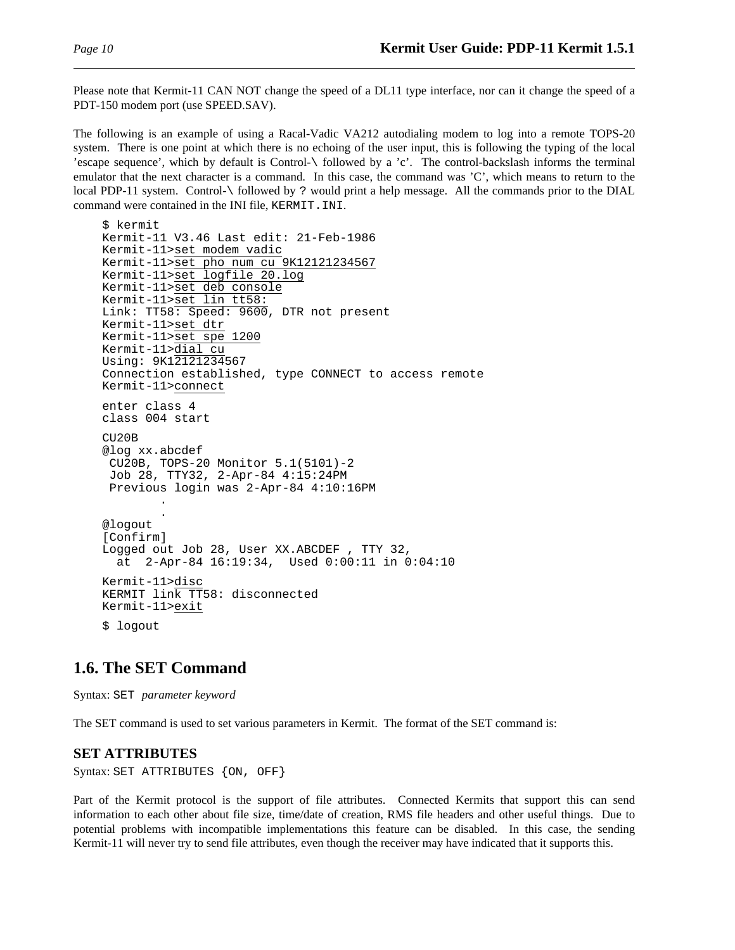Please note that Kermit-11 CAN NOT change the speed of a DL11 type interface, nor can it change the speed of a PDT-150 modem port (use SPEED.SAV).

The following is an example of using a Racal-Vadic VA212 autodialing modem to log into a remote TOPS-20 system. There is one point at which there is no echoing of the user input, this is following the typing of the local 'escape sequence', which by default is Control-\ followed by a 'c'. The control-backslash informs the terminal emulator that the next character is a command. In this case, the command was 'C', which means to return to the local PDP-11 system. Control-\ followed by ? would print a help message. All the commands prior to the DIAL command were contained in the INI file, KERMIT.INI.

```
$ kermit
Kermit-11 V3.46 Last edit: 21-Feb-1986
Kermit-11>set modem vadic
Kermit-11>set pho num cu 9K12121234567
Kermit-11>set logfile 20.log
Kermit-11>set deb console
Kermit-11>set lin tt58:
Link: TT58: Speed: 9600, DTR not present
Kermit-11>set dtr
Kermit-11>set spe 1200
Kermit-11>dial cu
Using: 9K12121234567
Connection established, type CONNECT to access remote
Kermit-11>connect
enter class 4
class 004 start
CU20B
@log xx.abcdef
 CU20B, TOPS-20 Monitor 5.1(5101)-2
 Job 28, TTY32, 2-Apr-84 4:15:24PM
 Previous login was 2-Apr-84 4:10:16PM
        .
        .
@logout
[Confirm]
Logged out Job 28, User XX.ABCDEF , TTY 32,
  at 2-Apr-84 16:19:34, Used 0:00:11 in 0:04:10
Kermit-11>disc
KERMIT link TT58: disconnected
Kermit-11>exit
$ logout
```
## **1.6. The SET Command**

Syntax: SET *parameter keyword*

The SET command is used to set various parameters in Kermit. The format of the SET command is:

#### **SET ATTRIBUTES**

Syntax: SET ATTRIBUTES {ON, OFF}

Part of the Kermit protocol is the support of file attributes. Connected Kermits that support this can send information to each other about file size, time/date of creation, RMS file headers and other useful things. Due to potential problems with incompatible implementations this feature can be disabled. In this case, the sending Kermit-11 will never try to send file attributes, even though the receiver may have indicated that it supports this.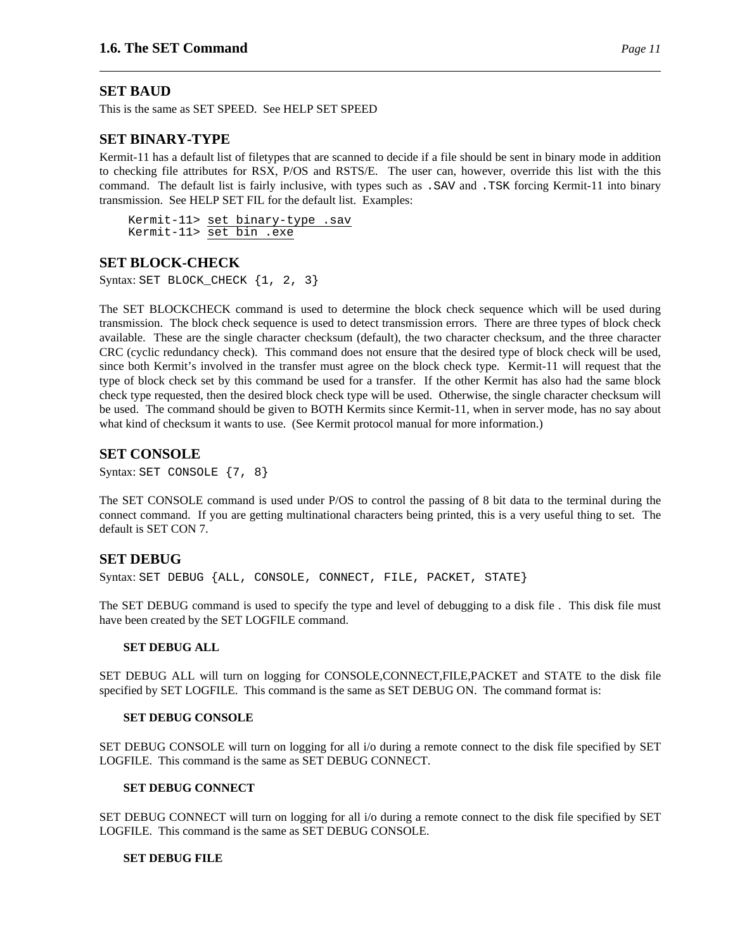#### **SET BAUD**

This is the same as SET SPEED. See HELP SET SPEED

#### **SET BINARY-TYPE**

Kermit-11 has a default list of filetypes that are scanned to decide if a file should be sent in binary mode in addition to checking file attributes for RSX, P/OS and RSTS/E. The user can, however, override this list with the this command. The default list is fairly inclusive, with types such as .SAV and .TSK forcing Kermit-11 into binary transmission. See HELP SET FIL for the default list. Examples:

Kermit-11> set binary-type .sav Kermit-11> set bin .exe

#### **SET BLOCK-CHECK**

Syntax: SET BLOCK\_CHECK  ${1, 2, 3}$ 

The SET BLOCKCHECK command is used to determine the block check sequence which will be used during transmission. The block check sequence is used to detect transmission errors. There are three types of block check available. These are the single character checksum (default), the two character checksum, and the three character CRC (cyclic redundancy check). This command does not ensure that the desired type of block check will be used, since both Kermit's involved in the transfer must agree on the block check type. Kermit-11 will request that the type of block check set by this command be used for a transfer. If the other Kermit has also had the same block check type requested, then the desired block check type will be used. Otherwise, the single character checksum will be used. The command should be given to BOTH Kermits since Kermit-11, when in server mode, has no say about what kind of checksum it wants to use. (See Kermit protocol manual for more information.)

#### **SET CONSOLE**

Syntax: SET CONSOLE {7, 8}

The SET CONSOLE command is used under P/OS to control the passing of 8 bit data to the terminal during the connect command. If you are getting multinational characters being printed, this is a very useful thing to set. The default is SET CON 7.

#### **SET DEBUG**

Syntax: SET DEBUG {ALL, CONSOLE, CONNECT, FILE, PACKET, STATE}

The SET DEBUG command is used to specify the type and level of debugging to a disk file . This disk file must have been created by the SET LOGFILE command.

#### **SET DEBUG ALL**

SET DEBUG ALL will turn on logging for CONSOLE,CONNECT,FILE,PACKET and STATE to the disk file specified by SET LOGFILE. This command is the same as SET DEBUG ON. The command format is:

#### **SET DEBUG CONSOLE**

SET DEBUG CONSOLE will turn on logging for all i/o during a remote connect to the disk file specified by SET LOGFILE. This command is the same as SET DEBUG CONNECT.

#### **SET DEBUG CONNECT**

SET DEBUG CONNECT will turn on logging for all i/o during a remote connect to the disk file specified by SET LOGFILE. This command is the same as SET DEBUG CONSOLE.

#### **SET DEBUG FILE**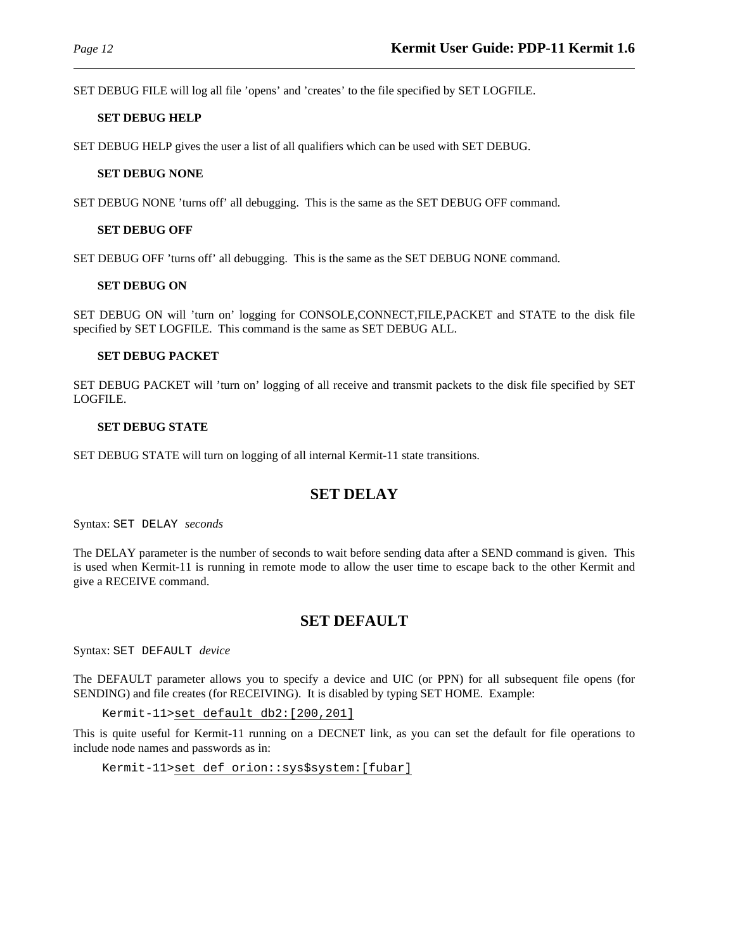SET DEBUG FILE will log all file 'opens' and 'creates' to the file specified by SET LOGFILE.

#### **SET DEBUG HELP**

SET DEBUG HELP gives the user a list of all qualifiers which can be used with SET DEBUG.

#### **SET DEBUG NONE**

SET DEBUG NONE 'turns off' all debugging. This is the same as the SET DEBUG OFF command.

#### **SET DEBUG OFF**

SET DEBUG OFF 'turns off' all debugging. This is the same as the SET DEBUG NONE command.

#### **SET DEBUG ON**

SET DEBUG ON will 'turn on' logging for CONSOLE,CONNECT,FILE,PACKET and STATE to the disk file specified by SET LOGFILE. This command is the same as SET DEBUG ALL.

#### **SET DEBUG PACKET**

SET DEBUG PACKET will 'turn on' logging of all receive and transmit packets to the disk file specified by SET LOGFILE.

#### **SET DEBUG STATE**

SET DEBUG STATE will turn on logging of all internal Kermit-11 state transitions.

## **SET DELAY**

Syntax: SET DELAY *seconds*

The DELAY parameter is the number of seconds to wait before sending data after a SEND command is given. This is used when Kermit-11 is running in remote mode to allow the user time to escape back to the other Kermit and give a RECEIVE command.

## **SET DEFAULT**

Syntax: SET DEFAULT *device*

The DEFAULT parameter allows you to specify a device and UIC (or PPN) for all subsequent file opens (for SENDING) and file creates (for RECEIVING). It is disabled by typing SET HOME. Example:

Kermit-11>set default db2:[200,201]

This is quite useful for Kermit-11 running on a DECNET link, as you can set the default for file operations to include node names and passwords as in:

```
Kermit-11>set def orion::sys$system:[fubar]
```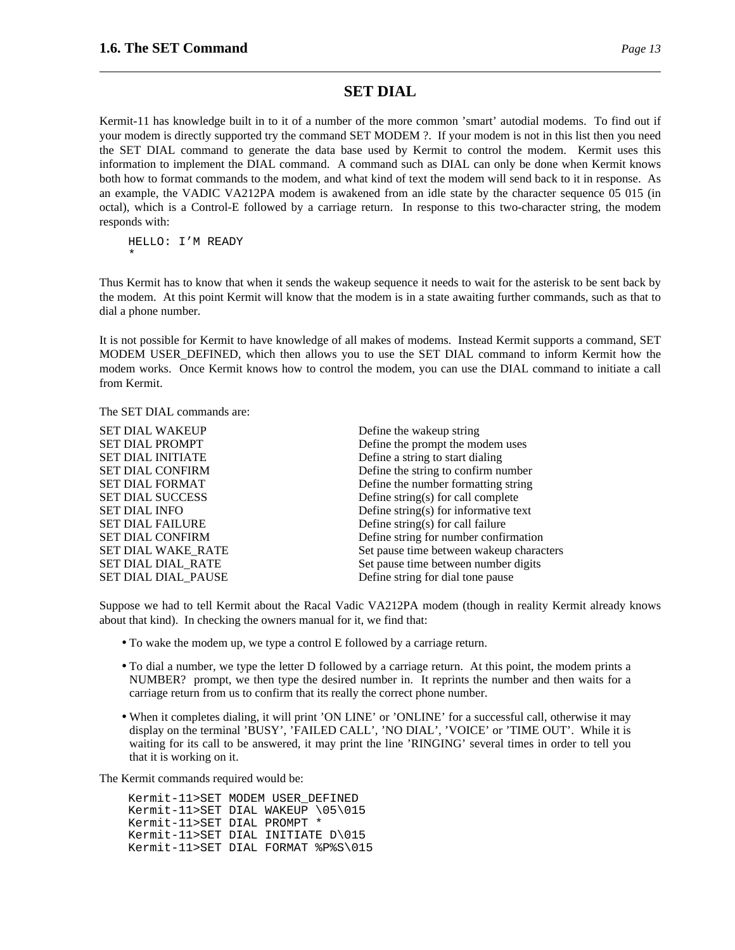### **SET DIAL**

Kermit-11 has knowledge built in to it of a number of the more common 'smart' autodial modems. To find out if your modem is directly supported try the command SET MODEM ?. If your modem is not in this list then you need the SET DIAL command to generate the data base used by Kermit to control the modem. Kermit uses this information to implement the DIAL command. A command such as DIAL can only be done when Kermit knows both how to format commands to the modem, and what kind of text the modem will send back to it in response. As an example, the VADIC VA212PA modem is awakened from an idle state by the character sequence 05 015 (in octal), which is a Control-E followed by a carriage return. In response to this two-character string, the modem responds with:

HELLO: I'M READY \*

Thus Kermit has to know that when it sends the wakeup sequence it needs to wait for the asterisk to be sent back by the modem. At this point Kermit will know that the modem is in a state awaiting further commands, such as that to dial a phone number.

It is not possible for Kermit to have knowledge of all makes of modems. Instead Kermit supports a command, SET MODEM USER DEFINED, which then allows you to use the SET DIAL command to inform Kermit how the modem works. Once Kermit knows how to control the modem, you can use the DIAL command to initiate a call from Kermit.

The SET DIAL commands are:

| Define the wakeup string                 |
|------------------------------------------|
| Define the prompt the modem uses         |
| Define a string to start dialing         |
| Define the string to confirm number      |
| Define the number formatting string      |
| Define string(s) for call complete       |
| Define string(s) for informative text    |
| Define string(s) for call failure        |
| Define string for number confirmation    |
| Set pause time between wakeup characters |
| Set pause time between number digits     |
| Define string for dial tone pause        |
|                                          |

Suppose we had to tell Kermit about the Racal Vadic VA212PA modem (though in reality Kermit already knows about that kind). In checking the owners manual for it, we find that:

- To wake the modem up, we type a control E followed by a carriage return.
- To dial a number, we type the letter D followed by a carriage return. At this point, the modem prints a NUMBER? prompt, we then type the desired number in. It reprints the number and then waits for a carriage return from us to confirm that its really the correct phone number.
- When it completes dialing, it will print 'ON LINE' or 'ONLINE' for a successful call, otherwise it may display on the terminal 'BUSY', 'FAILED CALL', 'NO DIAL', 'VOICE' or 'TIME OUT'. While it is waiting for its call to be answered, it may print the line 'RINGING' several times in order to tell you that it is working on it.

The Kermit commands required would be:

Kermit-11>SET MODEM USER\_DEFINED Kermit-11>SET DIAL WAKEUP \05\015 Kermit-11>SET DIAL PROMPT \* Kermit-11>SET DIAL INITIATE D\015 Kermit-11>SET DIAL FORMAT %P%S\015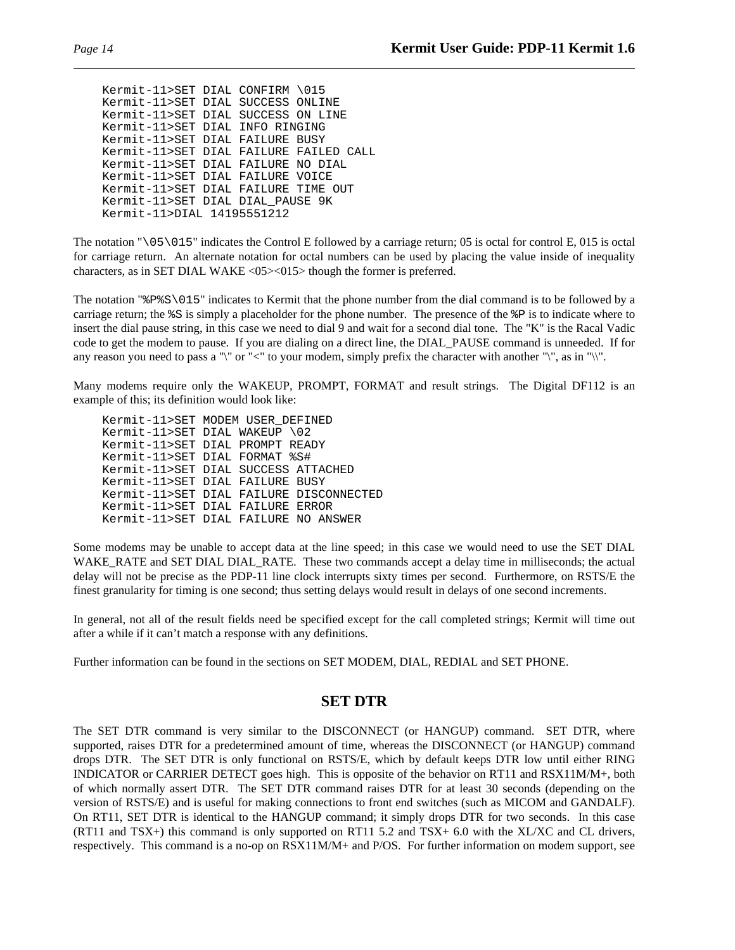```
Kermit-11>SET DIAL CONFIRM \015
Kermit-11>SET DIAL SUCCESS ONLINE
Kermit-11>SET DIAL SUCCESS ON LINE
Kermit-11>SET DIAL INFO RINGING
Kermit-11>SET DIAL FAILURE BUSY
Kermit-11>SET DIAL FAILURE FAILED CALL
Kermit-11>SET DIAL FAILURE NO DIAL
Kermit-11>SET DIAL FAILURE VOICE
Kermit-11>SET DIAL FAILURE TIME OUT
Kermit-11>SET DIAL DIAL_PAUSE 9K
Kermit-11>DIAL 14195551212
```
The notation "\05\015" indicates the Control E followed by a carriage return; 05 is octal for control E, 015 is octal for carriage return. An alternate notation for octal numbers can be used by placing the value inside of inequality characters, as in SET DIAL WAKE <05><015> though the former is preferred.

The notation "%P%S\015" indicates to Kermit that the phone number from the dial command is to be followed by a carriage return; the  $\S$ S is simply a placeholder for the phone number. The presence of the  $\S$ P is to indicate where to insert the dial pause string, in this case we need to dial 9 and wait for a second dial tone. The "K" is the Racal Vadic code to get the modem to pause. If you are dialing on a direct line, the DIAL\_PAUSE command is unneeded. If for any reason you need to pass a " $\mathbf{v}$ " or "<" to your modem, simply prefix the character with another " $\mathbf{v}$ ", as in " $\mathbf{v}$ ".

Many modems require only the WAKEUP, PROMPT, FORMAT and result strings. The Digital DF112 is an example of this; its definition would look like:

Kermit-11>SET MODEM USER\_DEFINED Kermit-11>SET DIAL WAKEUP \02 Kermit-11>SET DIAL PROMPT READY Kermit-11>SET DIAL FORMAT %S# Kermit-11>SET DIAL SUCCESS ATTACHED Kermit-11>SET DIAL FAILURE BUSY Kermit-11>SET DIAL FAILURE DISCONNECTED Kermit-11>SET DIAL FAILURE ERROR Kermit-11>SET DIAL FAILURE NO ANSWER

Some modems may be unable to accept data at the line speed; in this case we would need to use the SET DIAL WAKE\_RATE and SET DIAL\_DIAL\_RATE. These two commands accept a delay time in milliseconds; the actual delay will not be precise as the PDP-11 line clock interrupts sixty times per second. Furthermore, on RSTS/E the finest granularity for timing is one second; thus setting delays would result in delays of one second increments.

In general, not all of the result fields need be specified except for the call completed strings; Kermit will time out after a while if it can't match a response with any definitions.

Further information can be found in the sections on SET MODEM, DIAL, REDIAL and SET PHONE.

## **SET DTR**

The SET DTR command is very similar to the DISCONNECT (or HANGUP) command. SET DTR, where supported, raises DTR for a predetermined amount of time, whereas the DISCONNECT (or HANGUP) command drops DTR. The SET DTR is only functional on RSTS/E, which by default keeps DTR low until either RING INDICATOR or CARRIER DETECT goes high. This is opposite of the behavior on RT11 and RSX11M/M+, both of which normally assert DTR. The SET DTR command raises DTR for at least 30 seconds (depending on the version of RSTS/E) and is useful for making connections to front end switches (such as MICOM and GANDALF). On RT11, SET DTR is identical to the HANGUP command; it simply drops DTR for two seconds. In this case (RT11 and TSX+) this command is only supported on RT11 5.2 and TSX+ 6.0 with the XL/XC and CL drivers, respectively. This command is a no-op on RSX11M/M+ and P/OS. For further information on modem support, see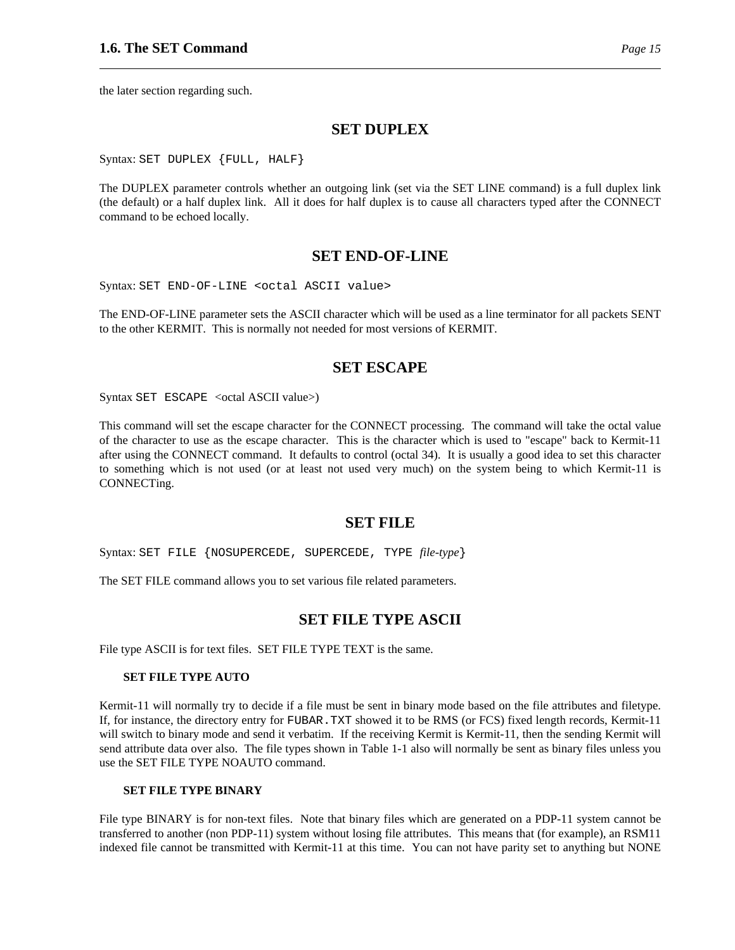the later section regarding such.

#### **SET DUPLEX**

Syntax: SET DUPLEX {FULL, HALF}

The DUPLEX parameter controls whether an outgoing link (set via the SET LINE command) is a full duplex link (the default) or a half duplex link. All it does for half duplex is to cause all characters typed after the CONNECT command to be echoed locally.

#### **SET END-OF-LINE**

Syntax: SET END-OF-LINE <octal ASCII value>

The END-OF-LINE parameter sets the ASCII character which will be used as a line terminator for all packets SENT to the other KERMIT. This is normally not needed for most versions of KERMIT.

#### **SET ESCAPE**

Syntax SET ESCAPE <octal ASCII value>)

This command will set the escape character for the CONNECT processing. The command will take the octal value of the character to use as the escape character. This is the character which is used to "escape" back to Kermit-11 after using the CONNECT command. It defaults to control (octal 34). It is usually a good idea to set this character to something which is not used (or at least not used very much) on the system being to which Kermit-11 is CONNECTing.

#### **SET FILE**

Syntax: SET FILE {NOSUPERCEDE, SUPERCEDE, TYPE *file-type*}

The SET FILE command allows you to set various file related parameters.

#### **SET FILE TYPE ASCII**

File type ASCII is for text files. SET FILE TYPE TEXT is the same.

#### **SET FILE TYPE AUTO**

Kermit-11 will normally try to decide if a file must be sent in binary mode based on the file attributes and filetype. If, for instance, the directory entry for FUBAR.TXT showed it to be RMS (or FCS) fixed length records, Kermit-11 will switch to binary mode and send it verbatim. If the receiving Kermit is Kermit-11, then the sending Kermit will send attribute data over also. The file types shown in Table 1-1 also will normally be sent as binary files unless you use the SET FILE TYPE NOAUTO command.

#### **SET FILE TYPE BINARY**

File type BINARY is for non-text files. Note that binary files which are generated on a PDP-11 system cannot be transferred to another (non PDP-11) system without losing file attributes. This means that (for example), an RSM11 indexed file cannot be transmitted with Kermit-11 at this time. You can not have parity set to anything but NONE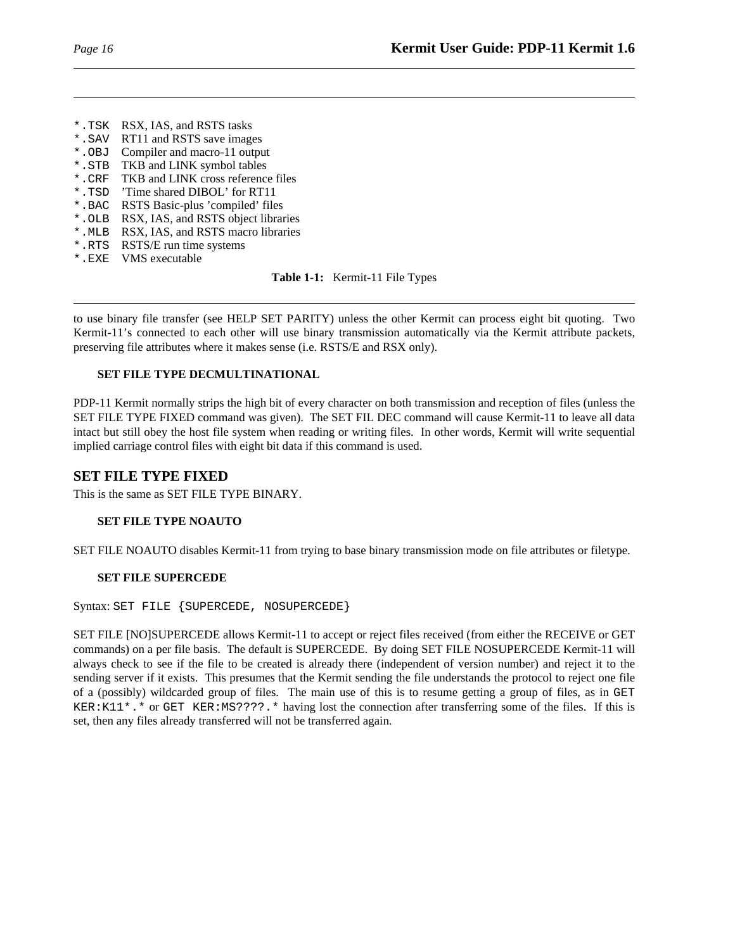- \*.TSK RSX, IAS, and RSTS tasks
- \*. SAV RT11 and RSTS save images<br>\*. OBJ Compiler and macro-11 output
- Compiler and macro-11 output
- \*.STB TKB and LINK symbol tables
- \*.CRF TKB and LINK cross reference files
- \*.TSD 'Time shared DIBOL' for RT11
- \*.BAC RSTS Basic-plus 'compiled' files
- \*.OLB RSX, IAS, and RSTS object libraries
- \*.MLB RSX, IAS, and RSTS macro libraries
- \*.RTS RSTS/E run time systems
- \*.EXE VMS executable

**Table 1-1:** Kermit-11 File Types

to use binary file transfer (see HELP SET PARITY) unless the other Kermit can process eight bit quoting. Two Kermit-11's connected to each other will use binary transmission automatically via the Kermit attribute packets, preserving file attributes where it makes sense (i.e. RSTS/E and RSX only).

#### **SET FILE TYPE DECMULTINATIONAL**

PDP-11 Kermit normally strips the high bit of every character on both transmission and reception of files (unless the SET FILE TYPE FIXED command was given). The SET FIL DEC command will cause Kermit-11 to leave all data intact but still obey the host file system when reading or writing files. In other words, Kermit will write sequential implied carriage control files with eight bit data if this command is used.

### **SET FILE TYPE FIXED**

This is the same as SET FILE TYPE BINARY.

#### **SET FILE TYPE NOAUTO**

SET FILE NOAUTO disables Kermit-11 from trying to base binary transmission mode on file attributes or filetype.

#### **SET FILE SUPERCEDE**

Syntax: SET FILE {SUPERCEDE, NOSUPERCEDE}

SET FILE [NO]SUPERCEDE allows Kermit-11 to accept or reject files received (from either the RECEIVE or GET commands) on a per file basis. The default is SUPERCEDE. By doing SET FILE NOSUPERCEDE Kermit-11 will always check to see if the file to be created is already there (independent of version number) and reject it to the sending server if it exists. This presumes that the Kermit sending the file understands the protocol to reject one file of a (possibly) wildcarded group of files. The main use of this is to resume getting a group of files, as in GET KER:K11\*.\* or GET KER:MS????.\* having lost the connection after transferring some of the files. If this is set, then any files already transferred will not be transferred again.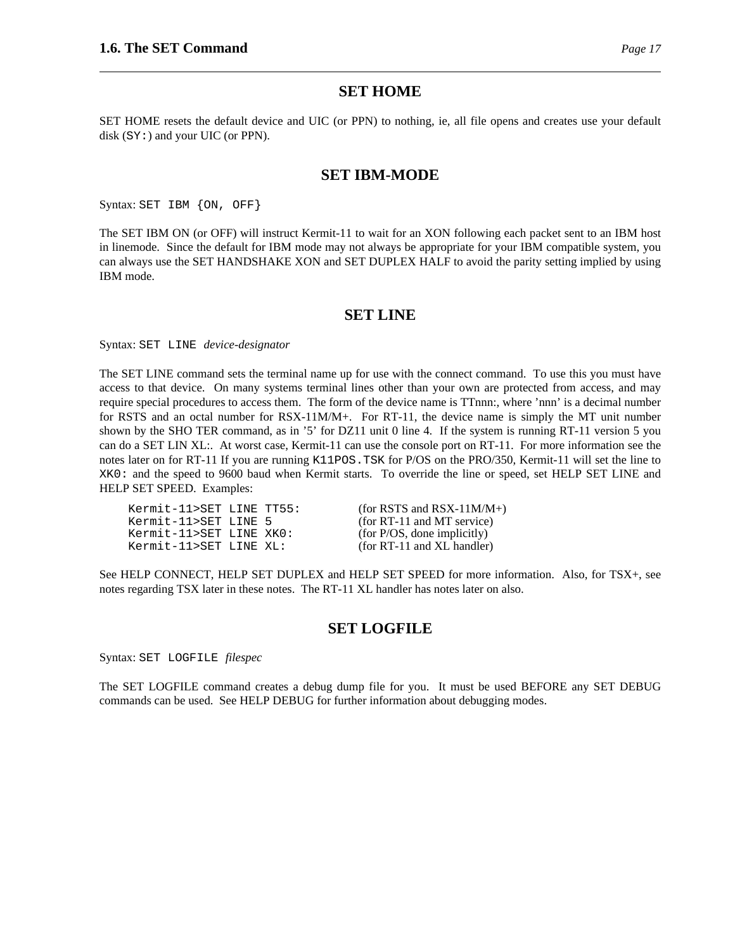#### **SET HOME**

SET HOME resets the default device and UIC (or PPN) to nothing, ie, all file opens and creates use your default disk (SY:) and your UIC (or PPN).

#### **SET IBM-MODE**

Syntax: SET IBM {ON, OFF}

The SET IBM ON (or OFF) will instruct Kermit-11 to wait for an XON following each packet sent to an IBM host in linemode. Since the default for IBM mode may not always be appropriate for your IBM compatible system, you can always use the SET HANDSHAKE XON and SET DUPLEX HALF to avoid the parity setting implied by using IBM mode.

#### **SET LINE**

Syntax: SET LINE *device-designator*

The SET LINE command sets the terminal name up for use with the connect command. To use this you must have access to that device. On many systems terminal lines other than your own are protected from access, and may require special procedures to access them. The form of the device name is TTnnn:, where 'nnn' is a decimal number for RSTS and an octal number for RSX-11M/M+. For RT-11, the device name is simply the MT unit number shown by the SHO TER command, as in '5' for DZ11 unit 0 line 4. If the system is running RT-11 version 5 you can do a SET LIN XL:. At worst case, Kermit-11 can use the console port on RT-11. For more information see the notes later on for RT-11 If you are running K11POS.TSK for P/OS on the PRO/350, Kermit-11 will set the line to XK0: and the speed to 9600 baud when Kermit starts. To override the line or speed, set HELP SET LINE and HELP SET SPEED. Examples:

| Kermit-11>SET LINE TT55: |  |
|--------------------------|--|
| Kermit-11>SET LINE 5     |  |
| Kermit-11>SET LINE XKO:  |  |
| Kermit-11>SET LINE XL:   |  |

 $(for RSTS and RSX-11M/M+)$  $(for RT-11 and MT service)$  $(for P/OS, done implicitly)$  $($ for RT-11 and XL handler $)$ 

See HELP CONNECT, HELP SET DUPLEX and HELP SET SPEED for more information. Also, for TSX+, see notes regarding TSX later in these notes. The RT-11 XL handler has notes later on also.

#### **SET LOGFILE**

Syntax: SET LOGFILE *filespec*

The SET LOGFILE command creates a debug dump file for you. It must be used BEFORE any SET DEBUG commands can be used. See HELP DEBUG for further information about debugging modes.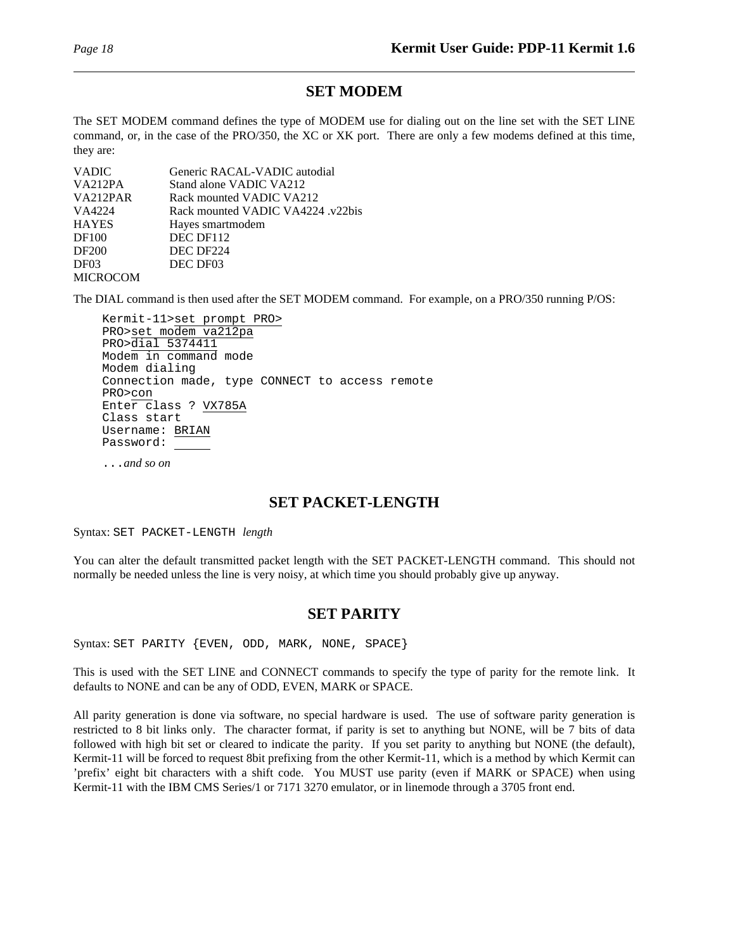## **SET MODEM**

The SET MODEM command defines the type of MODEM use for dialing out on the line set with the SET LINE command, or, in the case of the PRO/350, the XC or XK port. There are only a few modems defined at this time, they are:

| <b>VADIC</b>     | Generic RACAL-VADIC autodial      |
|------------------|-----------------------------------|
| VA212PA          | Stand alone VADIC VA212           |
| VA212PAR         | Rack mounted VADIC VA212          |
| VA4224           | Rack mounted VADIC VA4224 .v22bis |
| <b>HAYES</b>     | Hayes smartmodem                  |
| DF100            | DEC DF112                         |
| DF200            | DEC DF224                         |
| DF <sub>03</sub> | DEC DF03                          |
| <b>MICROCOM</b>  |                                   |

The DIAL command is then used after the SET MODEM command. For example, on a PRO/350 running P/OS:

Kermit-11>set prompt PRO> PRO>set modem va212pa PRO>dial 5374411 Modem in command mode Modem dialing Connection made, type CONNECT to access remote PRO>con Enter class ? VX785A Class start Username: BRIAN Password:

...*and so on*

## **SET PACKET-LENGTH**

Syntax: SET PACKET-LENGTH *length*

You can alter the default transmitted packet length with the SET PACKET-LENGTH command. This should not normally be needed unless the line is very noisy, at which time you should probably give up anyway.

## **SET PARITY**

Syntax: SET PARITY {EVEN, ODD, MARK, NONE, SPACE}

This is used with the SET LINE and CONNECT commands to specify the type of parity for the remote link. It defaults to NONE and can be any of ODD, EVEN, MARK or SPACE.

All parity generation is done via software, no special hardware is used. The use of software parity generation is restricted to 8 bit links only. The character format, if parity is set to anything but NONE, will be 7 bits of data followed with high bit set or cleared to indicate the parity. If you set parity to anything but NONE (the default), Kermit-11 will be forced to request 8bit prefixing from the other Kermit-11, which is a method by which Kermit can 'prefix' eight bit characters with a shift code. You MUST use parity (even if MARK or SPACE) when using Kermit-11 with the IBM CMS Series/1 or 7171 3270 emulator, or in linemode through a 3705 front end.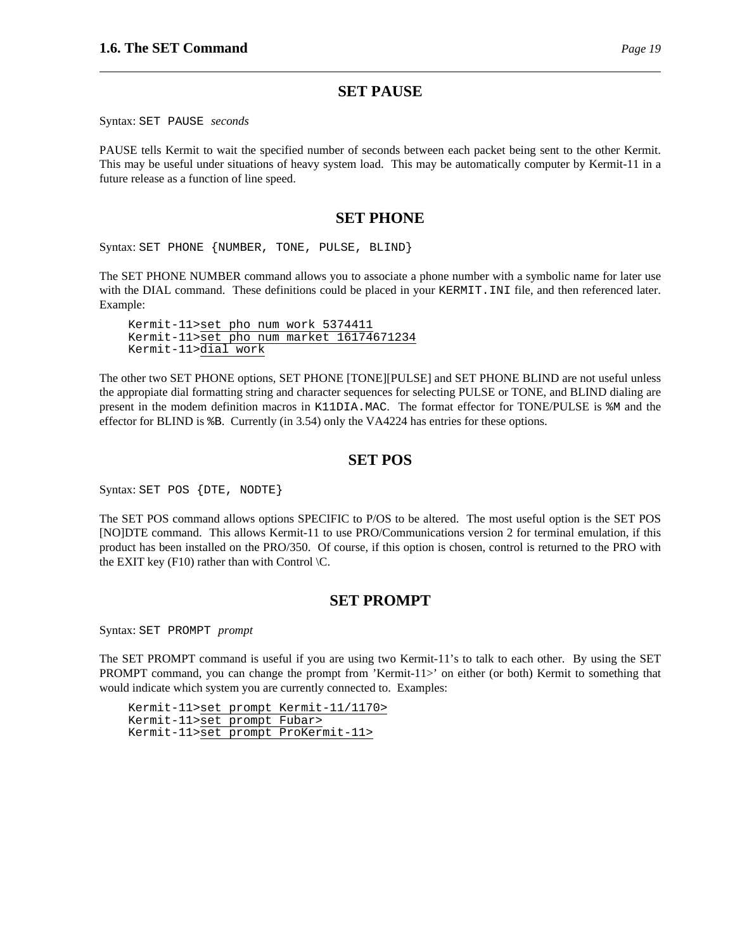#### **SET PAUSE**

Syntax: SET PAUSE *seconds*

PAUSE tells Kermit to wait the specified number of seconds between each packet being sent to the other Kermit. This may be useful under situations of heavy system load. This may be automatically computer by Kermit-11 in a future release as a function of line speed.

### **SET PHONE**

Syntax: SET PHONE {NUMBER, TONE, PULSE, BLIND}

The SET PHONE NUMBER command allows you to associate a phone number with a symbolic name for later use with the DIAL command. These definitions could be placed in your KERMIT. INI file, and then referenced later. Example:

Kermit-11>set pho num work 5374411 Kermit-11>set pho num market 16174671234 Kermit-11>dial work

The other two SET PHONE options, SET PHONE [TONE][PULSE] and SET PHONE BLIND are not useful unless the appropiate dial formatting string and character sequences for selecting PULSE or TONE, and BLIND dialing are present in the modem definition macros in K11DIA.MAC. The format effector for TONE/PULSE is %M and the effector for BLIND is %B. Currently (in 3.54) only the VA4224 has entries for these options.

#### **SET POS**

Syntax: SET POS {DTE, NODTE}

The SET POS command allows options SPECIFIC to P/OS to be altered. The most useful option is the SET POS [NO]DTE command. This allows Kermit-11 to use PRO/Communications version 2 for terminal emulation, if this product has been installed on the PRO/350. Of course, if this option is chosen, control is returned to the PRO with the EXIT key (F10) rather than with Control  $\mathcal{C}$ .

## **SET PROMPT**

Syntax: SET PROMPT *prompt*

The SET PROMPT command is useful if you are using two Kermit-11's to talk to each other. By using the SET PROMPT command, you can change the prompt from 'Kermit-11>' on either (or both) Kermit to something that would indicate which system you are currently connected to. Examples:

Kermit-11>set prompt Kermit-11/1170> Kermit-11>set prompt Fubar> Kermit-11>set prompt ProKermit-11>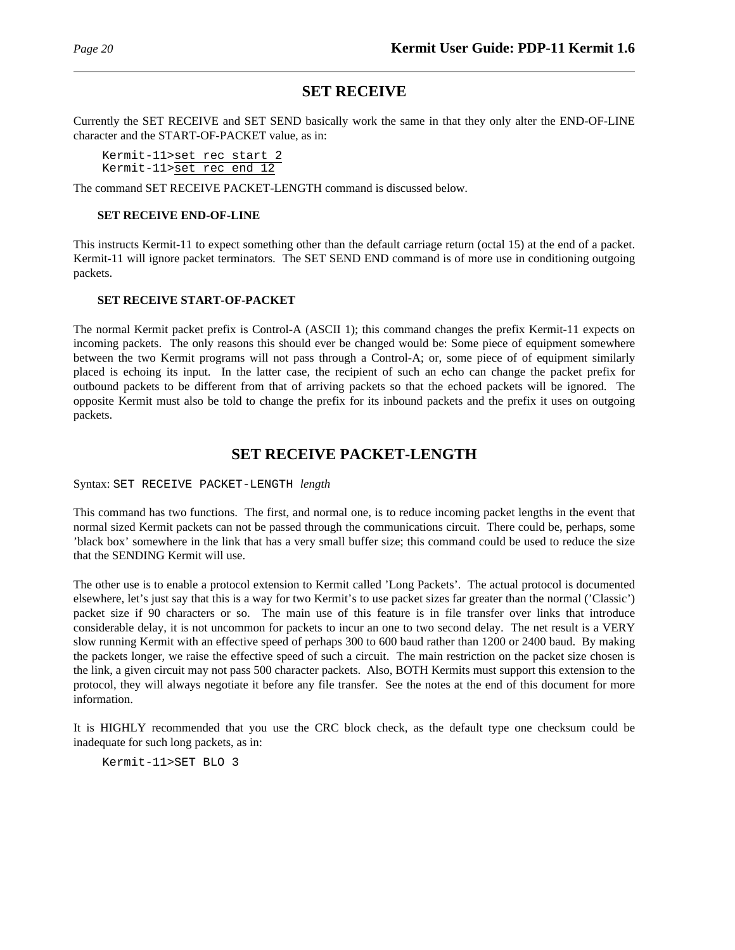## **SET RECEIVE**

Currently the SET RECEIVE and SET SEND basically work the same in that they only alter the END-OF-LINE character and the START-OF-PACKET value, as in:

Kermit-11>set rec start 2 Kermit-11>set rec end 12

The command SET RECEIVE PACKET-LENGTH command is discussed below.

#### **SET RECEIVE END-OF-LINE**

This instructs Kermit-11 to expect something other than the default carriage return (octal 15) at the end of a packet. Kermit-11 will ignore packet terminators. The SET SEND END command is of more use in conditioning outgoing packets.

#### **SET RECEIVE START-OF-PACKET**

The normal Kermit packet prefix is Control-A (ASCII 1); this command changes the prefix Kermit-11 expects on incoming packets. The only reasons this should ever be changed would be: Some piece of equipment somewhere between the two Kermit programs will not pass through a Control-A; or, some piece of of equipment similarly placed is echoing its input. In the latter case, the recipient of such an echo can change the packet prefix for outbound packets to be different from that of arriving packets so that the echoed packets will be ignored. The opposite Kermit must also be told to change the prefix for its inbound packets and the prefix it uses on outgoing packets.

## **SET RECEIVE PACKET-LENGTH**

Syntax: SET RECEIVE PACKET-LENGTH *length*

This command has two functions. The first, and normal one, is to reduce incoming packet lengths in the event that normal sized Kermit packets can not be passed through the communications circuit. There could be, perhaps, some 'black box' somewhere in the link that has a very small buffer size; this command could be used to reduce the size that the SENDING Kermit will use.

The other use is to enable a protocol extension to Kermit called 'Long Packets'. The actual protocol is documented elsewhere, let's just say that this is a way for two Kermit's to use packet sizes far greater than the normal ('Classic') packet size if 90 characters or so. The main use of this feature is in file transfer over links that introduce considerable delay, it is not uncommon for packets to incur an one to two second delay. The net result is a VERY slow running Kermit with an effective speed of perhaps 300 to 600 baud rather than 1200 or 2400 baud. By making the packets longer, we raise the effective speed of such a circuit. The main restriction on the packet size chosen is the link, a given circuit may not pass 500 character packets. Also, BOTH Kermits must support this extension to the protocol, they will always negotiate it before any file transfer. See the notes at the end of this document for more information.

It is HIGHLY recommended that you use the CRC block check, as the default type one checksum could be inadequate for such long packets, as in:

Kermit-11>SET BLO 3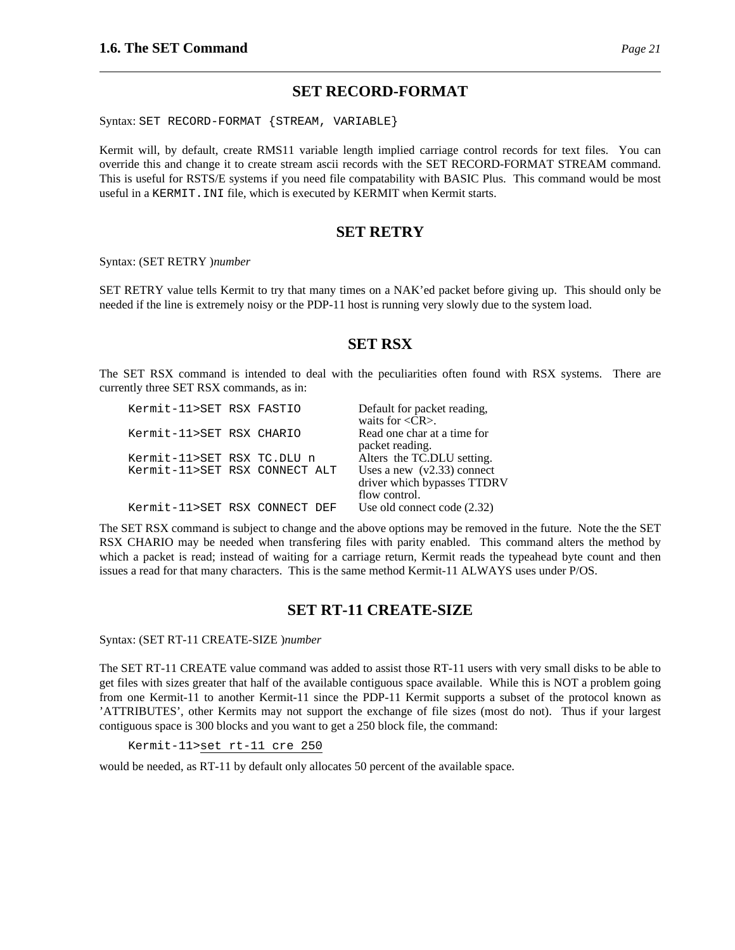### **SET RECORD-FORMAT**

Syntax: SET RECORD-FORMAT {STREAM, VARIABLE}

Kermit will, by default, create RMS11 variable length implied carriage control records for text files. You can override this and change it to create stream ascii records with the SET RECORD-FORMAT STREAM command. This is useful for RSTS/E systems if you need file compatability with BASIC Plus. This command would be most useful in a KERMIT.INI file, which is executed by KERMIT when Kermit starts.

#### **SET RETRY**

Syntax: (SET RETRY )*number*

SET RETRY value tells Kermit to try that many times on a NAK'ed packet before giving up. This should only be needed if the line is extremely noisy or the PDP-11 host is running very slowly due to the system load.

## **SET RSX**

The SET RSX command is intended to deal with the peculiarities often found with RSX systems. There are currently three SET RSX commands, as in:

| Kermit-11>SET RSX FASTIO      |  | Default for packet reading,      |
|-------------------------------|--|----------------------------------|
|                               |  | waits for $\langle CR \rangle$ . |
| Kermit-11>SET RSX CHARIO      |  | Read one char at a time for      |
|                               |  | packet reading.                  |
| Kermit-11>SET RSX TC.DLU n    |  | Alters the TC.DLU setting.       |
| Kermit-11>SET RSX CONNECT ALT |  | Uses a new $(v2.33)$ connect     |
|                               |  | driver which bypasses TTDRV      |
|                               |  | flow control.                    |
| Kermit-11>SET RSX CONNECT DEF |  | Use old connect code $(2.32)$    |

The SET RSX command is subject to change and the above options may be removed in the future. Note the the SET RSX CHARIO may be needed when transfering files with parity enabled. This command alters the method by which a packet is read; instead of waiting for a carriage return, Kermit reads the typeahead byte count and then issues a read for that many characters. This is the same method Kermit-11 ALWAYS uses under P/OS.

## **SET RT-11 CREATE-SIZE**

Syntax: (SET RT-11 CREATE-SIZE )*number*

The SET RT-11 CREATE value command was added to assist those RT-11 users with very small disks to be able to get files with sizes greater that half of the available contiguous space available. While this is NOT a problem going from one Kermit-11 to another Kermit-11 since the PDP-11 Kermit supports a subset of the protocol known as 'ATTRIBUTES', other Kermits may not support the exchange of file sizes (most do not). Thus if your largest contiguous space is 300 blocks and you want to get a 250 block file, the command:

Kermit-11>set rt-11 cre 250

would be needed, as RT-11 by default only allocates 50 percent of the available space.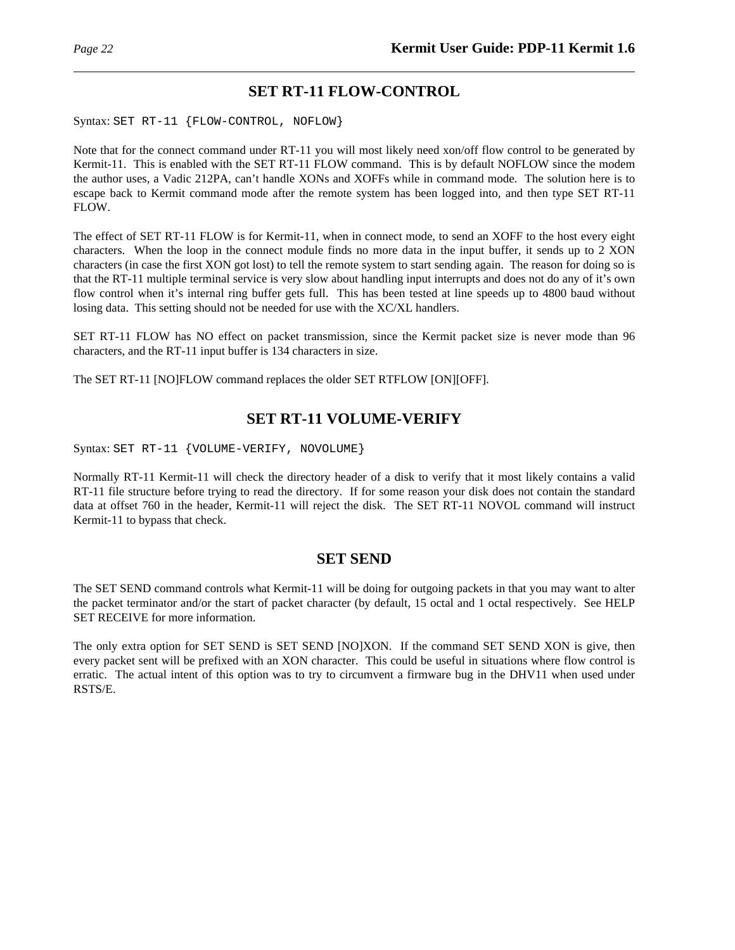## **SET RT-11 FLOW-CONTROL**

Syntax: SET RT-11 {FLOW-CONTROL, NOFLOW}

Note that for the connect command under RT-11 you will most likely need xon/off flow control to be generated by Kermit-11. This is enabled with the SET RT-11 FLOW command. This is by default NOFLOW since the modem the author uses, a Vadic 212PA, can't handle XONs and XOFFs while in command mode. The solution here is to escape back to Kermit command mode after the remote system has been logged into, and then type SET RT-11 FLOW.

The effect of SET RT-11 FLOW is for Kermit-11, when in connect mode, to send an XOFF to the host every eight characters. When the loop in the connect module finds no more data in the input buffer, it sends up to 2 XON characters (in case the first XON got lost) to tell the remote system to start sending again. The reason for doing so is that the RT-11 multiple terminal service is very slow about handling input interrupts and does not do any of it's own flow control when it's internal ring buffer gets full. This has been tested at line speeds up to 4800 baud without losing data. This setting should not be needed for use with the XC/XL handlers.

SET RT-11 FLOW has NO effect on packet transmission, since the Kermit packet size is never mode than 96 characters, and the RT-11 input buffer is 134 characters in size.

The SET RT-11 [NO]FLOW command replaces the older SET RTFLOW [ON][OFF].

## **SET RT-11 VOLUME-VERIFY**

Syntax: SET RT-11 {VOLUME-VERIFY, NOVOLUME}

Normally RT-11 Kermit-11 will check the directory header of a disk to verify that it most likely contains a valid RT-11 file structure before trying to read the directory. If for some reason your disk does not contain the standard data at offset 760 in the header, Kermit-11 will reject the disk. The SET RT-11 NOVOL command will instruct Kermit-11 to bypass that check.

## **SET SEND**

The SET SEND command controls what Kermit-11 will be doing for outgoing packets in that you may want to alter the packet terminator and/or the start of packet character (by default, 15 octal and 1 octal respectively. See HELP SET RECEIVE for more information.

The only extra option for SET SEND is SET SEND [NO]XON. If the command SET SEND XON is give, then every packet sent will be prefixed with an XON character. This could be useful in situations where flow control is erratic. The actual intent of this option was to try to circumvent a firmware bug in the DHV11 when used under RSTS/E.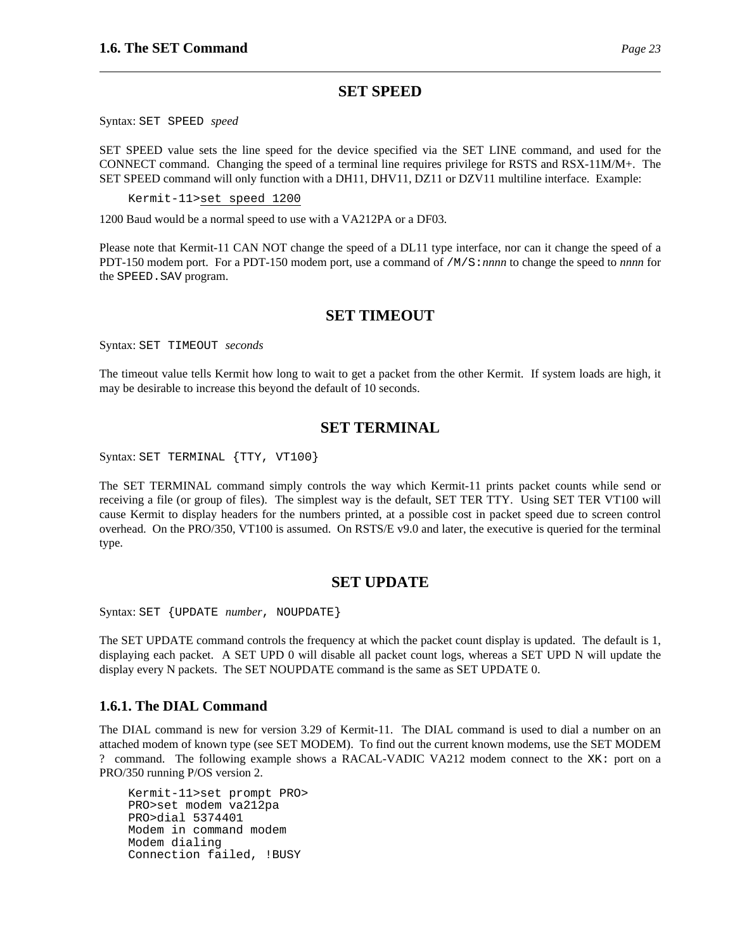### **SET SPEED**

Syntax: SET SPEED *speed*

SET SPEED value sets the line speed for the device specified via the SET LINE command, and used for the CONNECT command. Changing the speed of a terminal line requires privilege for RSTS and RSX-11M/M+. The SET SPEED command will only function with a DH11, DHV11, DZ11 or DZV11 multiline interface. Example:

Kermit-11>set speed 1200

1200 Baud would be a normal speed to use with a VA212PA or a DF03.

Please note that Kermit-11 CAN NOT change the speed of a DL11 type interface, nor can it change the speed of a PDT-150 modem port. For a PDT-150 modem port, use a command of /M/S:*nnnn* to change the speed to *nnnn* for the SPEED.SAV program.

### **SET TIMEOUT**

Syntax: SET TIMEOUT *seconds*

The timeout value tells Kermit how long to wait to get a packet from the other Kermit. If system loads are high, it may be desirable to increase this beyond the default of 10 seconds.

## **SET TERMINAL**

Syntax: SET TERMINAL {TTY, VT100}

The SET TERMINAL command simply controls the way which Kermit-11 prints packet counts while send or receiving a file (or group of files). The simplest way is the default, SET TER TTY. Using SET TER VT100 will cause Kermit to display headers for the numbers printed, at a possible cost in packet speed due to screen control overhead. On the PRO/350, VT100 is assumed. On RSTS/E v9.0 and later, the executive is queried for the terminal type.

## **SET UPDATE**

Syntax: SET {UPDATE *number*, NOUPDATE}

The SET UPDATE command controls the frequency at which the packet count display is updated. The default is 1, displaying each packet. A SET UPD 0 will disable all packet count logs, whereas a SET UPD N will update the display every N packets. The SET NOUPDATE command is the same as SET UPDATE 0.

#### **1.6.1. The DIAL Command**

The DIAL command is new for version 3.29 of Kermit-11. The DIAL command is used to dial a number on an attached modem of known type (see SET MODEM). To find out the current known modems, use the SET MODEM ? command. The following example shows a RACAL-VADIC VA212 modem connect to the XK: port on a PRO/350 running P/OS version 2.

Kermit-11>set prompt PRO> PRO>set modem va212pa PRO>dial 5374401 Modem in command modem Modem dialing Connection failed, !BUSY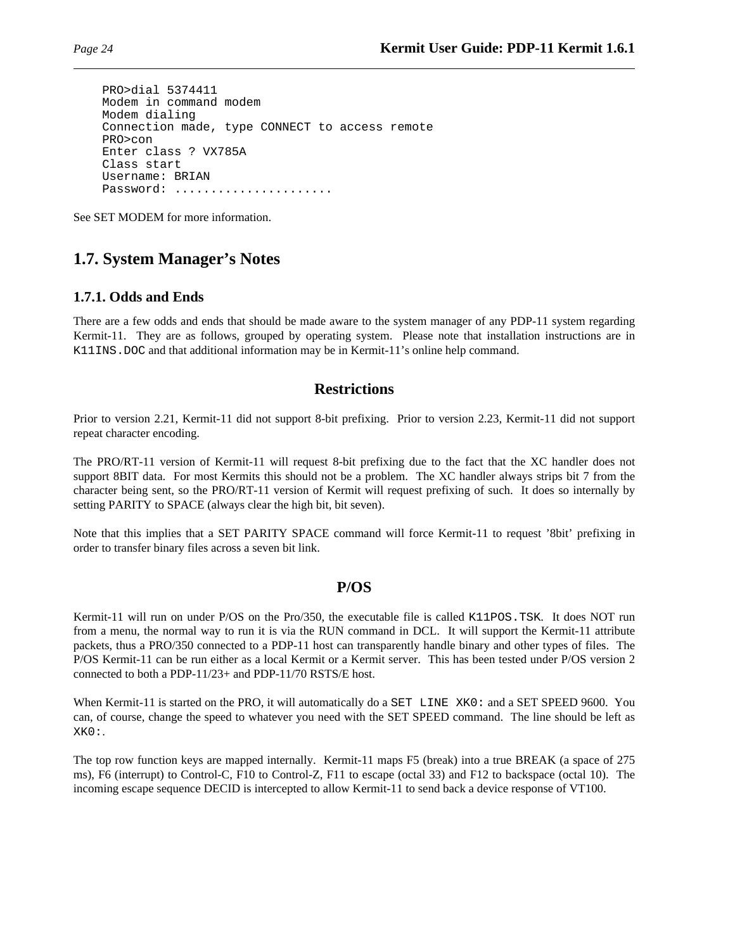```
PRO>dial 5374411
Modem in command modem
Modem dialing
Connection made, type CONNECT to access remote
PRO>con
Enter class ? VX785A
Class start
Username: BRIAN
Password: ......................
```
See SET MODEM for more information.

## **1.7. System Manager's Notes**

### **1.7.1. Odds and Ends**

There are a few odds and ends that should be made aware to the system manager of any PDP-11 system regarding Kermit-11. They are as follows, grouped by operating system. Please note that installation instructions are in K11INS.DOC and that additional information may be in Kermit-11's online help command.

## **Restrictions**

Prior to version 2.21, Kermit-11 did not support 8-bit prefixing. Prior to version 2.23, Kermit-11 did not support repeat character encoding.

The PRO/RT-11 version of Kermit-11 will request 8-bit prefixing due to the fact that the XC handler does not support 8BIT data. For most Kermits this should not be a problem. The XC handler always strips bit 7 from the character being sent, so the PRO/RT-11 version of Kermit will request prefixing of such. It does so internally by setting PARITY to SPACE (always clear the high bit, bit seven).

Note that this implies that a SET PARITY SPACE command will force Kermit-11 to request '8bit' prefixing in order to transfer binary files across a seven bit link.

#### **P/OS**

Kermit-11 will run on under P/OS on the Pro/350, the executable file is called K11POS.TSK. It does NOT run from a menu, the normal way to run it is via the RUN command in DCL. It will support the Kermit-11 attribute packets, thus a PRO/350 connected to a PDP-11 host can transparently handle binary and other types of files. The P/OS Kermit-11 can be run either as a local Kermit or a Kermit server. This has been tested under P/OS version 2 connected to both a PDP-11/23+ and PDP-11/70 RSTS/E host.

When Kermit-11 is started on the PRO, it will automatically do a SET LINE XK0: and a SET SPEED 9600. You can, of course, change the speed to whatever you need with the SET SPEED command. The line should be left as XK0:.

The top row function keys are mapped internally. Kermit-11 maps F5 (break) into a true BREAK (a space of 275 ms), F6 (interrupt) to Control-C, F10 to Control-Z, F11 to escape (octal 33) and F12 to backspace (octal 10). The incoming escape sequence DECID is intercepted to allow Kermit-11 to send back a device response of VT100.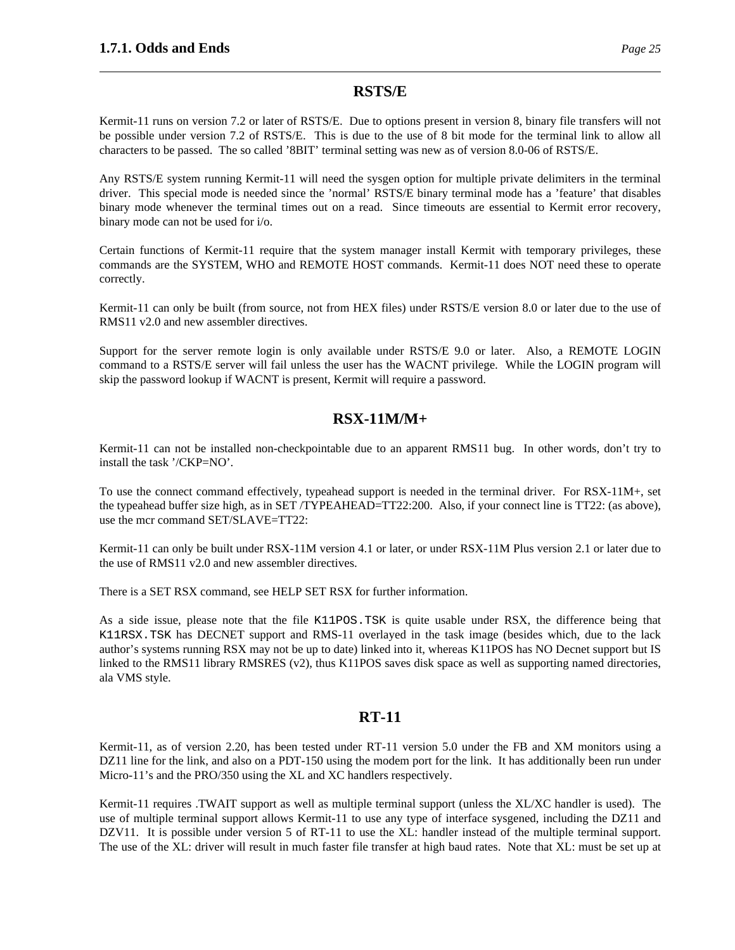#### **RSTS/E**

Kermit-11 runs on version 7.2 or later of RSTS/E. Due to options present in version 8, binary file transfers will not be possible under version 7.2 of RSTS/E. This is due to the use of 8 bit mode for the terminal link to allow all characters to be passed. The so called '8BIT' terminal setting was new as of version 8.0-06 of RSTS/E.

Any RSTS/E system running Kermit-11 will need the sysgen option for multiple private delimiters in the terminal driver. This special mode is needed since the 'normal' RSTS/E binary terminal mode has a 'feature' that disables binary mode whenever the terminal times out on a read. Since timeouts are essential to Kermit error recovery, binary mode can not be used for i/o.

Certain functions of Kermit-11 require that the system manager install Kermit with temporary privileges, these commands are the SYSTEM, WHO and REMOTE HOST commands. Kermit-11 does NOT need these to operate correctly.

Kermit-11 can only be built (from source, not from HEX files) under RSTS/E version 8.0 or later due to the use of RMS11 v2.0 and new assembler directives.

Support for the server remote login is only available under RSTS/E 9.0 or later. Also, a REMOTE LOGIN command to a RSTS/E server will fail unless the user has the WACNT privilege. While the LOGIN program will skip the password lookup if WACNT is present, Kermit will require a password.

## **RSX-11M/M+**

Kermit-11 can not be installed non-checkpointable due to an apparent RMS11 bug. In other words, don't try to install the task '/CKP=NO'.

To use the connect command effectively, typeahead support is needed in the terminal driver. For RSX-11M+, set the typeahead buffer size high, as in SET /TYPEAHEAD=TT22:200. Also, if your connect line is TT22: (as above), use the mcr command SET/SLAVE=TT22:

Kermit-11 can only be built under RSX-11M version 4.1 or later, or under RSX-11M Plus version 2.1 or later due to the use of RMS11 v2.0 and new assembler directives.

There is a SET RSX command, see HELP SET RSX for further information.

As a side issue, please note that the file K11POS.TSK is quite usable under RSX, the difference being that K11RSX.TSK has DECNET support and RMS-11 overlayed in the task image (besides which, due to the lack author's systems running RSX may not be up to date) linked into it, whereas K11POS has NO Decnet support but IS linked to the RMS11 library RMSRES (v2), thus K11POS saves disk space as well as supporting named directories, ala VMS style.

## **RT-11**

Kermit-11, as of version 2.20, has been tested under RT-11 version 5.0 under the FB and XM monitors using a DZ11 line for the link, and also on a PDT-150 using the modem port for the link. It has additionally been run under Micro-11's and the PRO/350 using the XL and XC handlers respectively.

Kermit-11 requires .TWAIT support as well as multiple terminal support (unless the XL/XC handler is used). The use of multiple terminal support allows Kermit-11 to use any type of interface sysgened, including the DZ11 and DZV11. It is possible under version 5 of RT-11 to use the XL: handler instead of the multiple terminal support. The use of the XL: driver will result in much faster file transfer at high baud rates. Note that XL: must be set up at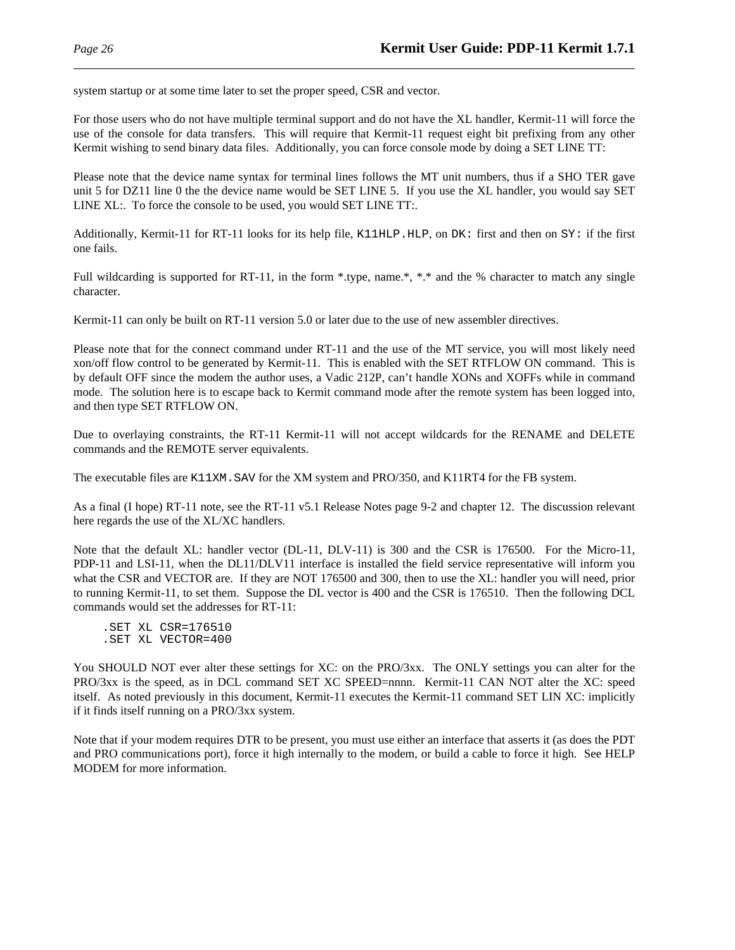system startup or at some time later to set the proper speed, CSR and vector.

For those users who do not have multiple terminal support and do not have the XL handler, Kermit-11 will force the use of the console for data transfers. This will require that Kermit-11 request eight bit prefixing from any other Kermit wishing to send binary data files. Additionally, you can force console mode by doing a SET LINE TT:

Please note that the device name syntax for terminal lines follows the MT unit numbers, thus if a SHO TER gave unit 5 for DZ11 line 0 the the device name would be SET LINE 5. If you use the XL handler, you would say SET LINE XL:. To force the console to be used, you would SET LINE TT:.

Additionally, Kermit-11 for RT-11 looks for its help file, K11HLP. HLP, on  $DK:$  first and then on  $SY:$  if the first one fails.

Full wildcarding is supported for RT-11, in the form \*.type, name.\*, \*.\* and the % character to match any single character.

Kermit-11 can only be built on RT-11 version 5.0 or later due to the use of new assembler directives.

Please note that for the connect command under RT-11 and the use of the MT service, you will most likely need xon/off flow control to be generated by Kermit-11. This is enabled with the SET RTFLOW ON command. This is by default OFF since the modem the author uses, a Vadic 212P, can't handle XONs and XOFFs while in command mode. The solution here is to escape back to Kermit command mode after the remote system has been logged into, and then type SET RTFLOW ON.

Due to overlaying constraints, the RT-11 Kermit-11 will not accept wildcards for the RENAME and DELETE commands and the REMOTE server equivalents.

The executable files are K11XM.SAV for the XM system and PRO/350, and K11RT4 for the FB system.

As a final (I hope) RT-11 note, see the RT-11 v5.1 Release Notes page 9-2 and chapter 12. The discussion relevant here regards the use of the XL/XC handlers.

Note that the default XL: handler vector (DL-11, DLV-11) is 300 and the CSR is 176500. For the Micro-11, PDP-11 and LSI-11, when the DL11/DLV11 interface is installed the field service representative will inform you what the CSR and VECTOR are. If they are NOT 176500 and 300, then to use the XL: handler you will need, prior to running Kermit-11, to set them. Suppose the DL vector is 400 and the CSR is 176510. Then the following DCL commands would set the addresses for RT-11:

.SET XL CSR=176510 .SET XL VECTOR=400

You SHOULD NOT ever alter these settings for XC: on the PRO/3xx. The ONLY settings you can alter for the PRO/3xx is the speed, as in DCL command SET XC SPEED=nnnn. Kermit-11 CAN NOT alter the XC: speed itself. As noted previously in this document, Kermit-11 executes the Kermit-11 command SET LIN XC: implicitly if it finds itself running on a PRO/3xx system.

Note that if your modem requires DTR to be present, you must use either an interface that asserts it (as does the PDT and PRO communications port), force it high internally to the modem, or build a cable to force it high. See HELP MODEM for more information.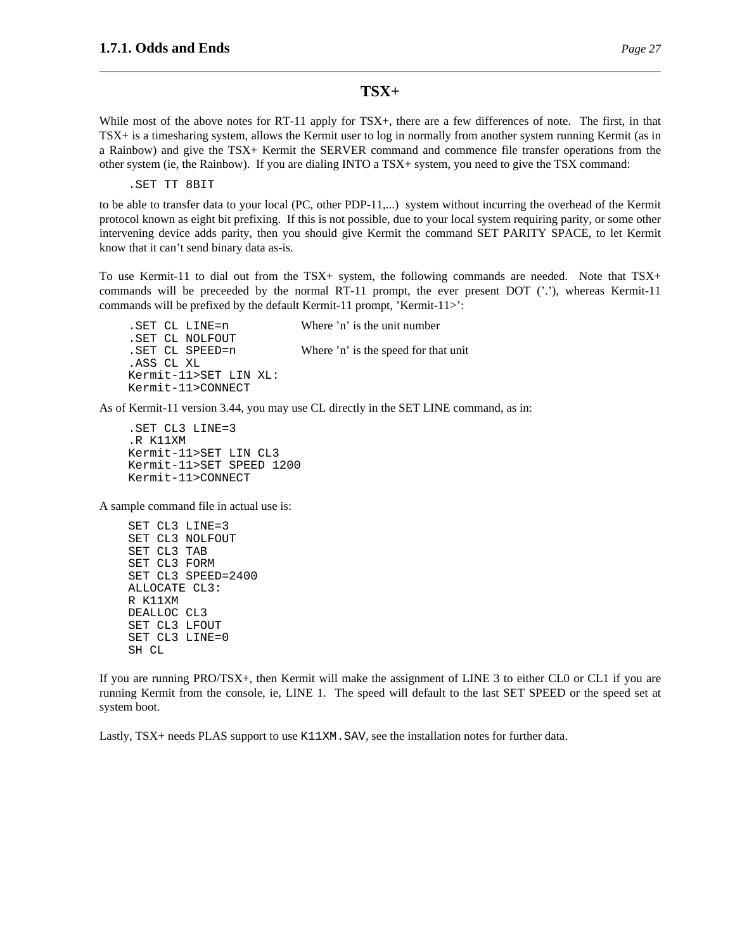#### **TSX+**

While most of the above notes for RT-11 apply for TSX+, there are a few differences of note. The first, in that TSX+ is a timesharing system, allows the Kermit user to log in normally from another system running Kermit (as in a Rainbow) and give the TSX+ Kermit the SERVER command and commence file transfer operations from the other system (ie, the Rainbow). If you are dialing INTO a TSX+ system, you need to give the TSX command:

.SET TT 8BIT

to be able to transfer data to your local (PC, other PDP-11,...) system without incurring the overhead of the Kermit protocol known as eight bit prefixing. If this is not possible, due to your local system requiring parity, or some other intervening device adds parity, then you should give Kermit the command SET PARITY SPACE, to let Kermit know that it can't send binary data as-is.

To use Kermit-11 to dial out from the TSX+ system, the following commands are needed. Note that TSX+ commands will be preceeded by the normal RT-11 prompt, the ever present DOT  $('')$ , whereas Kermit-11 commands will be prefixed by the default Kermit-11 prompt, 'Kermit-11>':

.SET CL LINE=n Where 'n' is the unit number .SET CL NOLFOUT .SET CL SPEED=n Where 'n' is the speed for that unit .ASS CL XL Kermit-11>SET LIN XL: Kermit-11>CONNECT

As of Kermit-11 version 3.44, you may use CL directly in the SET LINE command, as in:

.SET CL3 LINE=3 .R K11XM Kermit-11>SET LIN CL3 Kermit-11>SET SPEED 1200 Kermit-11>CONNECT

A sample command file in actual use is:

SET CL3 LINE=3 SET CL3 NOLFOUT SET CL3 TAB SET CL3 FORM SET CL3 SPEED=2400 ALLOCATE CL3: R K11XM DEALLOC CL3 SET CL3 LFOUT SET CL3 LINE=0 SH CL

If you are running PRO/TSX+, then Kermit will make the assignment of LINE 3 to either CL0 or CL1 if you are running Kermit from the console, ie, LINE 1. The speed will default to the last SET SPEED or the speed set at system boot.

Lastly, TSX+ needs PLAS support to use K11XM. SAV, see the installation notes for further data.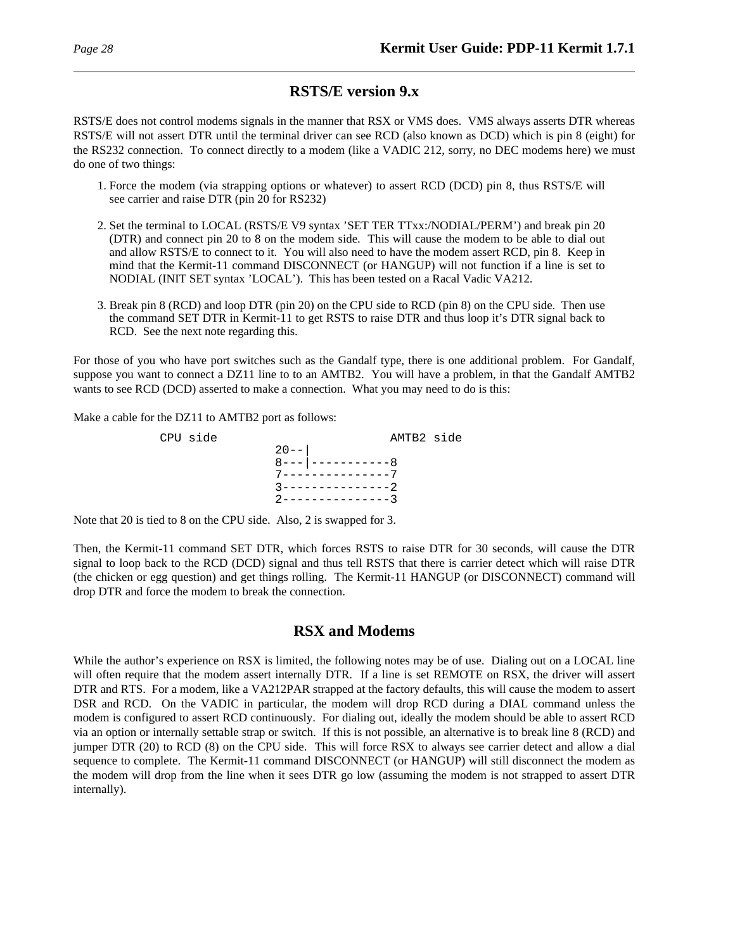## **RSTS/E version 9.x**

RSTS/E does not control modems signals in the manner that RSX or VMS does. VMS always asserts DTR whereas RSTS/E will not assert DTR until the terminal driver can see RCD (also known as DCD) which is pin 8 (eight) for the RS232 connection. To connect directly to a modem (like a VADIC 212, sorry, no DEC modems here) we must do one of two things:

- 1. Force the modem (via strapping options or whatever) to assert RCD (DCD) pin 8, thus RSTS/E will see carrier and raise DTR (pin 20 for RS232)
- 2. Set the terminal to LOCAL (RSTS/E V9 syntax 'SET TER TTxx:/NODIAL/PERM') and break pin 20 (DTR) and connect pin 20 to 8 on the modem side. This will cause the modem to be able to dial out and allow RSTS/E to connect to it. You will also need to have the modem assert RCD, pin 8. Keep in mind that the Kermit-11 command DISCONNECT (or HANGUP) will not function if a line is set to NODIAL (INIT SET syntax 'LOCAL'). This has been tested on a Racal Vadic VA212.
- 3. Break pin 8 (RCD) and loop DTR (pin 20) on the CPU side to RCD (pin 8) on the CPU side. Then use the command SET DTR in Kermit-11 to get RSTS to raise DTR and thus loop it's DTR signal back to RCD. See the next note regarding this.

For those of you who have port switches such as the Gandalf type, there is one additional problem. For Gandalf, suppose you want to connect a DZ11 line to to an AMTB2. You will have a problem, in that the Gandalf AMTB2 wants to see RCD (DCD) asserted to make a connection. What you may need to do is this:

Make a cable for the DZ11 to AMTB2 port as follows:



Note that 20 is tied to 8 on the CPU side. Also, 2 is swapped for 3.

Then, the Kermit-11 command SET DTR, which forces RSTS to raise DTR for 30 seconds, will cause the DTR signal to loop back to the RCD (DCD) signal and thus tell RSTS that there is carrier detect which will raise DTR (the chicken or egg question) and get things rolling. The Kermit-11 HANGUP (or DISCONNECT) command will drop DTR and force the modem to break the connection.

## **RSX and Modems**

While the author's experience on RSX is limited, the following notes may be of use. Dialing out on a LOCAL line will often require that the modem assert internally DTR. If a line is set REMOTE on RSX, the driver will assert DTR and RTS. For a modem, like a VA212PAR strapped at the factory defaults, this will cause the modem to assert DSR and RCD. On the VADIC in particular, the modem will drop RCD during a DIAL command unless the modem is configured to assert RCD continuously. For dialing out, ideally the modem should be able to assert RCD via an option or internally settable strap or switch. If this is not possible, an alternative is to break line 8 (RCD) and jumper DTR (20) to RCD (8) on the CPU side. This will force RSX to always see carrier detect and allow a dial sequence to complete. The Kermit-11 command DISCONNECT (or HANGUP) will still disconnect the modem as the modem will drop from the line when it sees DTR go low (assuming the modem is not strapped to assert DTR internally).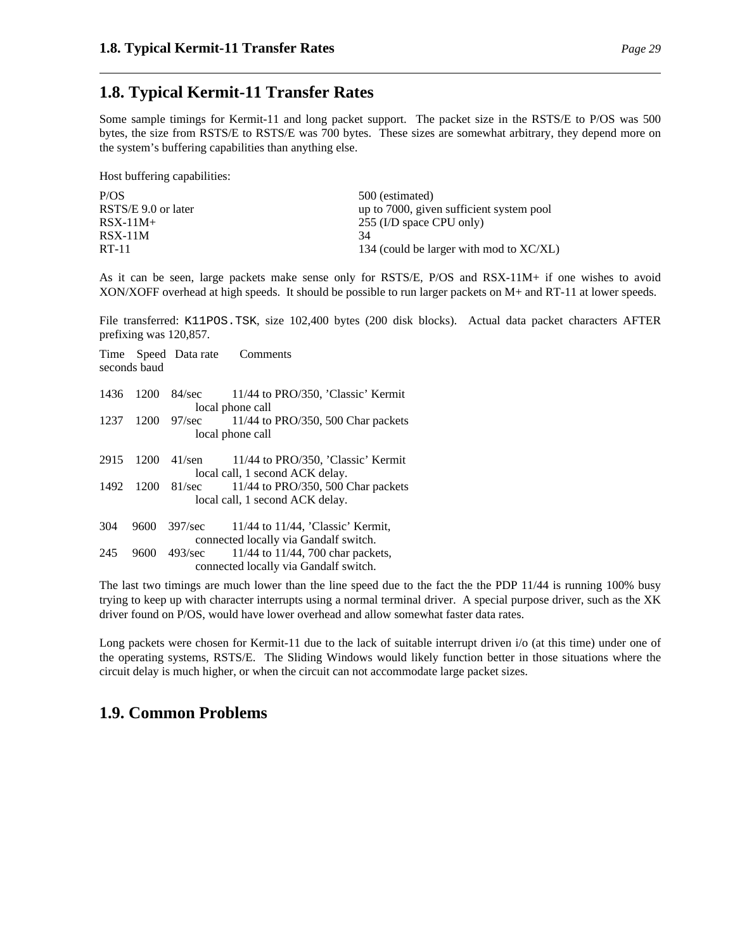## **1.8. Typical Kermit-11 Transfer Rates**

Some sample timings for Kermit-11 and long packet support. The packet size in the RSTS/E to P/OS was 500 bytes, the size from RSTS/E to RSTS/E was 700 bytes. These sizes are somewhat arbitrary, they depend more on the system's buffering capabilities than anything else.

Host buffering capabilities:

| P/OS                | 500 (estimated)                            |
|---------------------|--------------------------------------------|
| RSTS/E 9.0 or later | up to 7000, given sufficient system pool   |
| $RSX-11M+$          | 255 (I/D space CPU only)                   |
| $RSX-11M$           | 34                                         |
| RT-11               | 134 (could be larger with mod to $XC/XL$ ) |
|                     |                                            |

As it can be seen, large packets make sense only for RSTS/E, P/OS and RSX-11M+ if one wishes to avoid XON/XOFF overhead at high speeds. It should be possible to run larger packets on M+ and RT-11 at lower speeds.

File transferred: K11POS.TSK, size 102,400 bytes (200 disk blocks). Actual data packet characters AFTER prefixing was 120,857.

|      | seconds baud |                 | Time Speed Data rate Comments                                                   |
|------|--------------|-----------------|---------------------------------------------------------------------------------|
| 1436 | 1200         | 84/sec          | 11/44 to PRO/350, 'Classic' Kermit<br>local phone call                          |
| 1237 | 1200         | $97/\text{sec}$ | $11/44$ to PRO/350, 500 Char packets<br>local phone call                        |
| 2915 | 1200         | $41$ /sen       | 11/44 to PRO/350, 'Classic' Kermit<br>local call, 1 second ACK delay.           |
| 1492 | 1200         | 81/sec          | 11/44 to PRO/350, 500 Char packets<br>local call, 1 second ACK delay.           |
| 304  | 9600         | 397/sec         | $11/44$ to $11/44$ , 'Classic' Kermit,<br>connected locally via Gandalf switch. |
| 245  | 9600         | 493/sec         | 11/44 to 11/44, 700 char packets,<br>connected locally via Gandalf switch.      |

The last two timings are much lower than the line speed due to the fact the the PDP 11/44 is running 100% busy trying to keep up with character interrupts using a normal terminal driver. A special purpose driver, such as the XK driver found on P/OS, would have lower overhead and allow somewhat faster data rates.

Long packets were chosen for Kermit-11 due to the lack of suitable interrupt driven i/o (at this time) under one of the operating systems, RSTS/E. The Sliding Windows would likely function better in those situations where the circuit delay is much higher, or when the circuit can not accommodate large packet sizes.

## **1.9. Common Problems**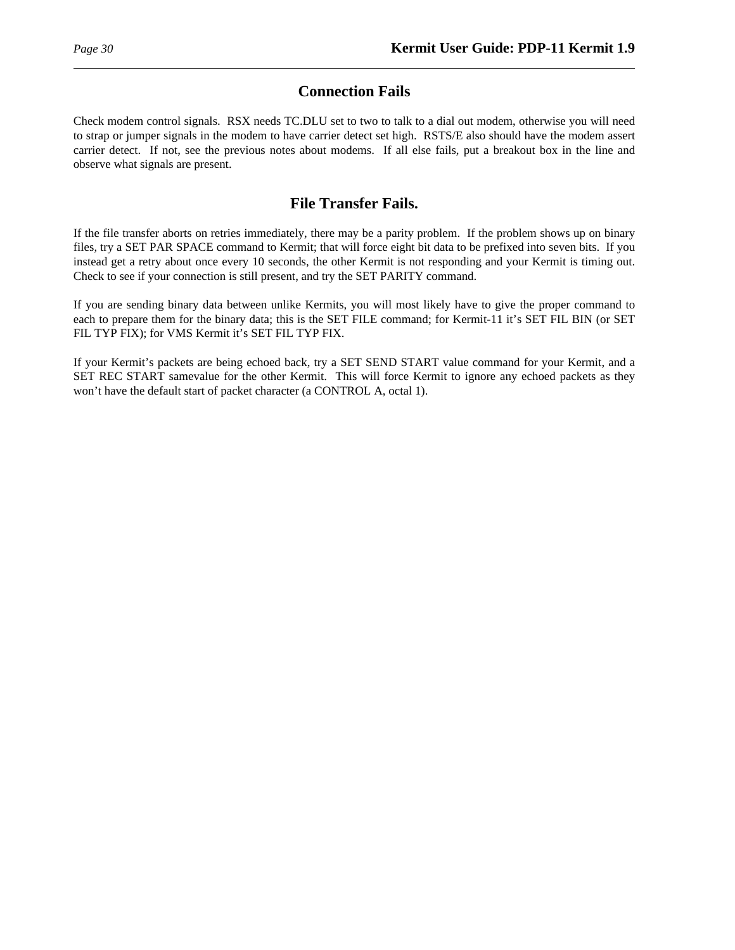## **Connection Fails**

Check modem control signals. RSX needs TC.DLU set to two to talk to a dial out modem, otherwise you will need to strap or jumper signals in the modem to have carrier detect set high. RSTS/E also should have the modem assert carrier detect. If not, see the previous notes about modems. If all else fails, put a breakout box in the line and observe what signals are present.

## **File Transfer Fails.**

If the file transfer aborts on retries immediately, there may be a parity problem. If the problem shows up on binary files, try a SET PAR SPACE command to Kermit; that will force eight bit data to be prefixed into seven bits. If you instead get a retry about once every 10 seconds, the other Kermit is not responding and your Kermit is timing out. Check to see if your connection is still present, and try the SET PARITY command.

If you are sending binary data between unlike Kermits, you will most likely have to give the proper command to each to prepare them for the binary data; this is the SET FILE command; for Kermit-11 it's SET FIL BIN (or SET FIL TYP FIX); for VMS Kermit it's SET FIL TYP FIX.

If your Kermit's packets are being echoed back, try a SET SEND START value command for your Kermit, and a SET REC START samevalue for the other Kermit. This will force Kermit to ignore any echoed packets as they won't have the default start of packet character (a CONTROL A, octal 1).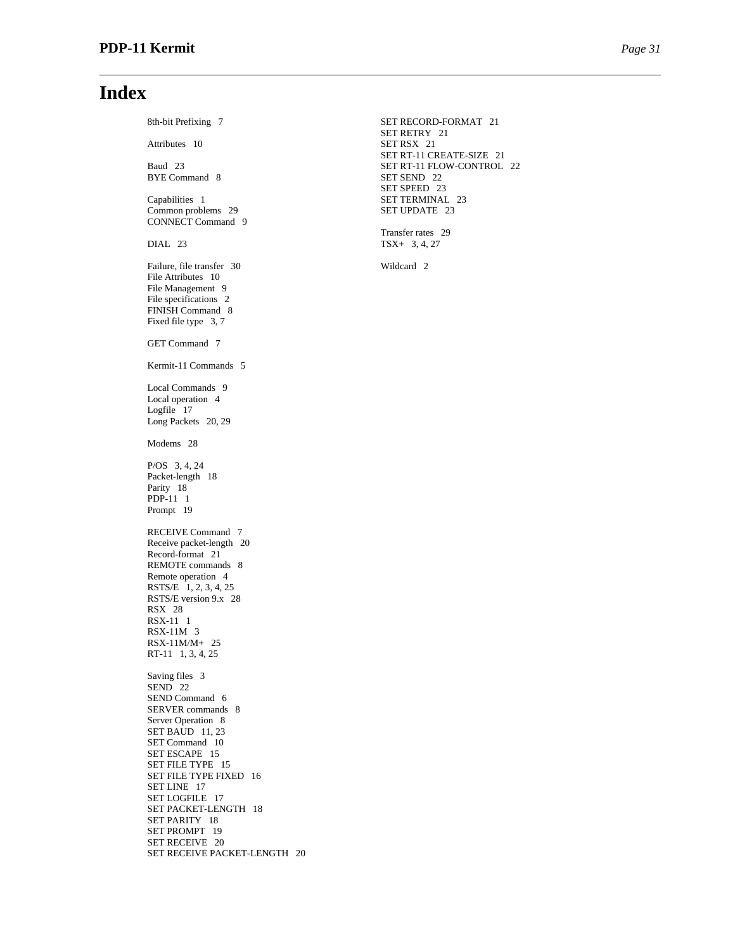## **Index**

8th-bit Prefixing 7 SET RECORD-FORMAT 21 Attributes 10 SET RSX 21 BYE Command 8 Capabilities 1 SET TERMINAL 23 Common problems 29 SET UPDATE 23 CONNECT Command 9 DIAL 23 TSX+ 3, 4, 27 Failure, file transfer 30 Wildcard 2 File Attributes 10 File Management 9 File specifications 2 FINISH Command 8 Fixed file type 3, 7 GET Command 7 Kermit-11 Commands 5 Local Commands 9 Local operation 4 Logfile  $17$ Long Packets 20, 29 Modems 28 P/OS 3, 4, 24 Packet-length 18 Parity 18 PDP-11 1 Prompt 19 RECEIVE Command 7 Receive packet-length 20 Record-format 21 REMOTE commands 8 Remote operation 4 RSTS/E 1, 2, 3, 4, 25 RSTS/E version 9.x 28 RSX 28 RSX-11 1 RSX-11M 3 RSX-11M/M+ 25 RT-11 1, 3, 4, 25 Saving files 3 SEND 22 SEND Command 6 SERVER commands 8 Server Operation 8 SET BAUD 11, 23 SET Command 10 SET ESCAPE 15 SET FILE TYPE 15 SET FILE TYPE FIXED 16 SET LINE 17 SET LOGFILE 17 SET PACKET-LENGTH 18 SET PARITY 18 SET PROMPT 19 SET RECEIVE 20 SET RECEIVE PACKET-LENGTH 20

SET RETRY 21 SET RT-11 CREATE-SIZE 21 Baud 23 SET RT-11 FLOW-CONTROL 22<br>BYE Command 8 SET SEND 22 SET SPEED 23

Transfer rates 29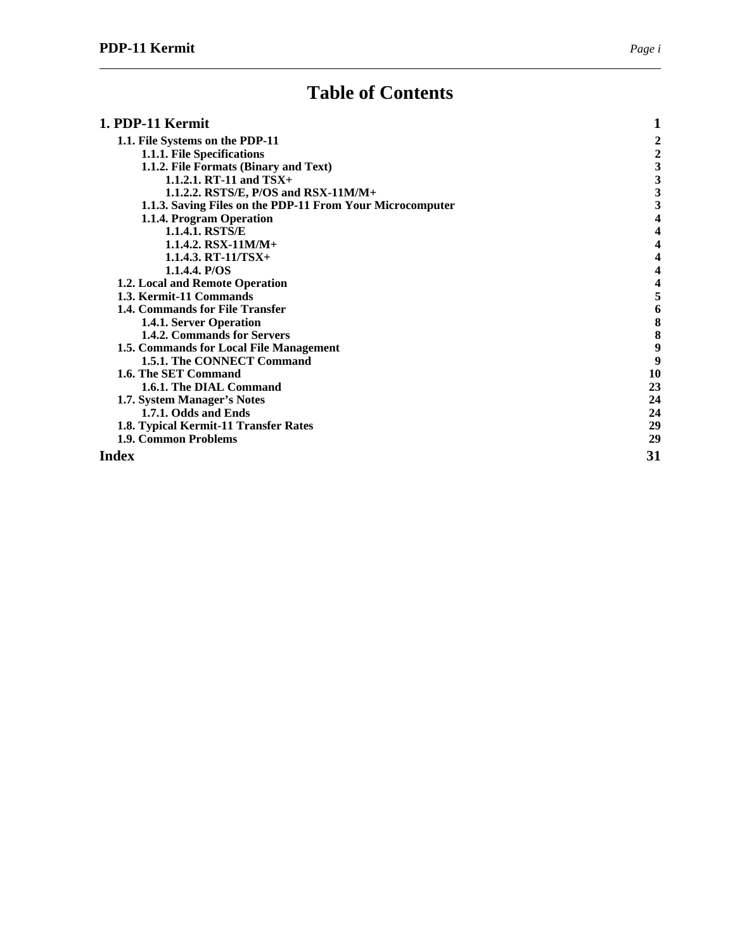# **Table of Contents**

| 1. PDP-11 Kermit                                          |    |
|-----------------------------------------------------------|----|
| 1.1. File Systems on the PDP-11                           |    |
| 1.1.1. File Specifications                                | 2  |
| 1.1.2. File Formats (Binary and Text)                     |    |
| 1.1.2.1. RT-11 and $TSX+$                                 | 3  |
| 1.1.2.2. RSTS/E, P/OS and RSX-11M/M+                      | 3  |
| 1.1.3. Saving Files on the PDP-11 From Your Microcomputer |    |
| 1.1.4. Program Operation                                  |    |
| 1.1.4.1. RSTS/E                                           |    |
| 1.1.4.2. RSX-11M/M+                                       | 4  |
| $1.1.4.3. RT-11/TSX+$                                     |    |
| 1.1.4.4. P/OS                                             |    |
| 1.2. Local and Remote Operation                           |    |
| 1.3. Kermit-11 Commands                                   |    |
| 1.4. Commands for File Transfer                           | 6  |
| 1.4.1. Server Operation                                   | 8  |
| 1.4.2. Commands for Servers                               | 8  |
| 1.5. Commands for Local File Management                   | 9  |
| 1.5.1. The CONNECT Command                                | 9  |
| 1.6. The SET Command                                      | 10 |
| 1.6.1. The DIAL Command                                   | 23 |
| 1.7. System Manager's Notes                               | 24 |
| 1.7.1. Odds and Ends                                      | 24 |
| 1.8. Typical Kermit-11 Transfer Rates                     | 29 |
| 1.9. Common Problems                                      | 29 |
| Index                                                     | 31 |